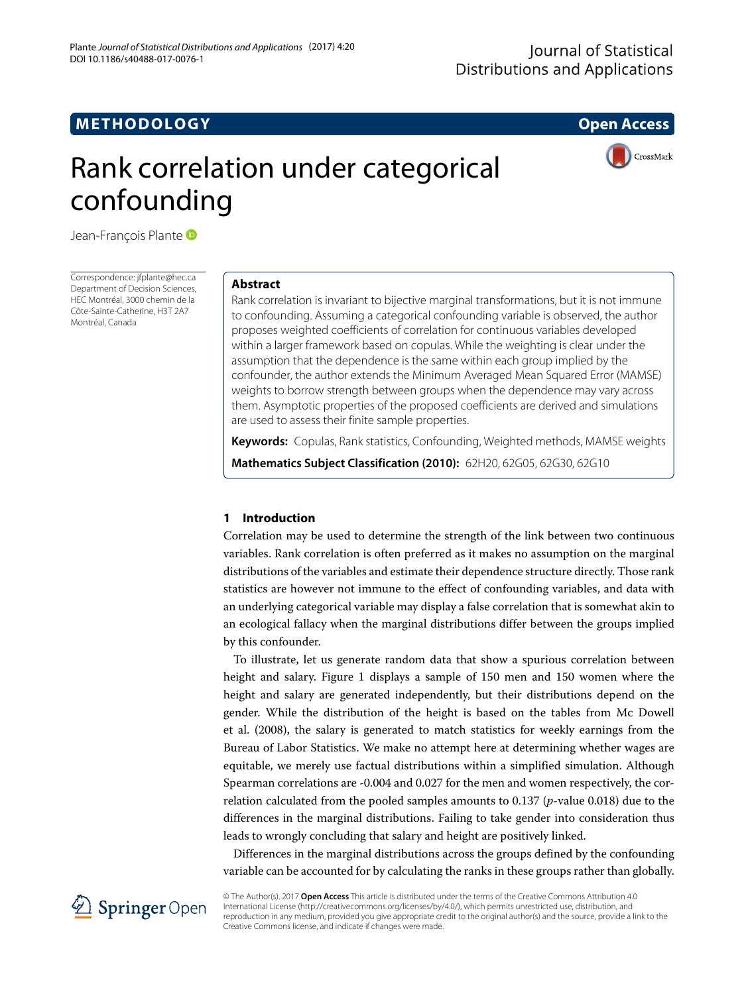## **METHODOLOGY Open Access**



# Rank correlation under categorical confounding

Jean-François Plante

Correspondence: [jfplante@hec.ca](mailto: jfplante@hec.ca) Department of Decision Sciences, HEC Montréal, 3000 chemin de la Côte-Sainte-Catherine, H3T 2A7 Montréal, Canada

#### **Abstract**

Rank correlation is invariant to bijective marginal transformations, but it is not immune to confounding. Assuming a categorical confounding variable is observed, the author proposes weighted coefficients of correlation for continuous variables developed within a larger framework based on copulas. While the weighting is clear under the assumption that the dependence is the same within each group implied by the confounder, the author extends the Minimum Averaged Mean Squared Error (MAMSE) weights to borrow strength between groups when the dependence may vary across them. Asymptotic properties of the proposed coefficients are derived and simulations are used to assess their finite sample properties.

**Keywords:** Copulas, Rank statistics, Confounding, Weighted methods, MAMSE weights

**Mathematics Subject Classification (2010):** 62H20, 62G05, 62G30, 62G10

#### **1 Introduction**

Correlation may be used to determine the strength of the link between two continuous variables. Rank correlation is often preferred as it makes no assumption on the marginal distributions of the variables and estimate their dependence structure directly. Those rank statistics are however not immune to the effect of confounding variables, and data with an underlying categorical variable may display a false correlation that is somewhat akin to an ecological fallacy when the marginal distributions differ between the groups implied by this confounder.

To illustrate, let us generate random data that show a spurious correlation between height and salary. Figure [1](#page-1-0) displays a sample of 150 men and 150 women where the height and salary are generated independently, but their distributions depend on the gender. While the distribution of the height is based on the tables from Mc Dowell et al. [\(2008\)](#page-18-0), the salary is generated to match statistics for weekly earnings from the Bureau of Labor Statistics. We make no attempt here at determining whether wages are equitable, we merely use factual distributions within a simplified simulation. Although Spearman correlations are -0.004 and 0.027 for the men and women respectively, the correlation calculated from the pooled samples amounts to 0.137 (*p*-value 0.018) due to the differences in the marginal distributions. Failing to take gender into consideration thus leads to wrongly concluding that salary and height are positively linked.

Differences in the marginal distributions across the groups defined by the confounding variable can be accounted for by calculating the ranks in these groups rather than globally.



© The Author(s). 2017 **Open Access** This article is distributed under the terms of the Creative Commons Attribution 4.0 International License [\(http://creativecommons.org/licenses/by/4.0/\)](http://creativecommons.org/licenses/by/4.0/), which permits unrestricted use, distribution, and reproduction in any medium, provided you give appropriate credit to the original author(s) and the source, provide a link to the Creative Commons license, and indicate if changes were made.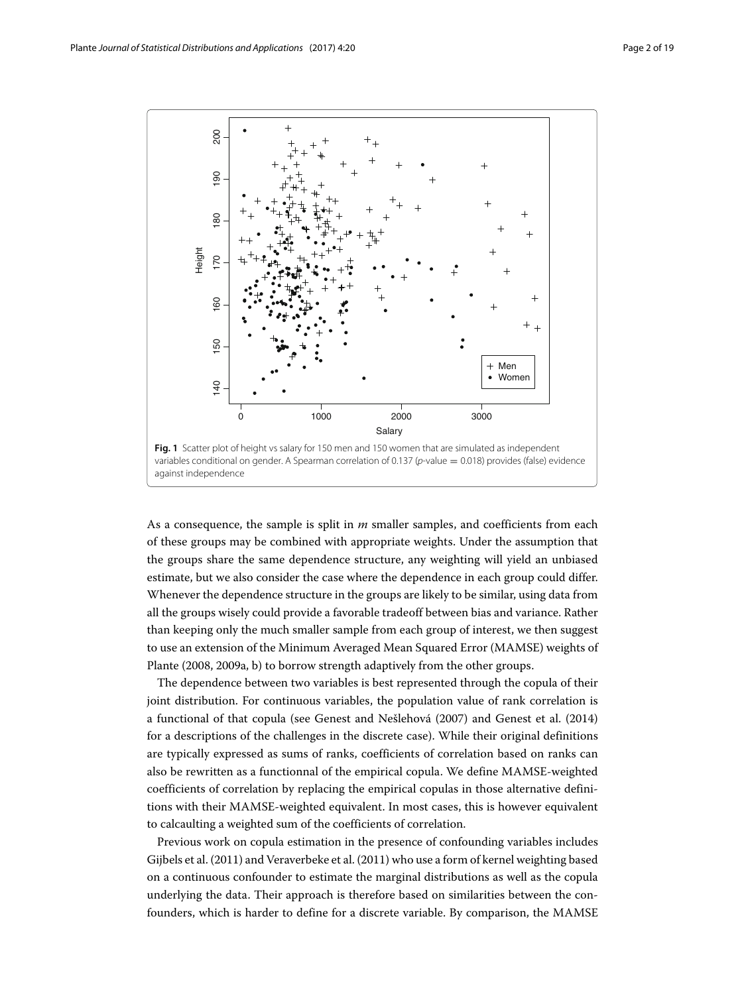

<span id="page-1-0"></span>As a consequence, the sample is split in *m* smaller samples, and coefficients from each of these groups may be combined with appropriate weights. Under the assumption that the groups share the same dependence structure, any weighting will yield an unbiased estimate, but we also consider the case where the dependence in each group could differ. Whenever the dependence structure in the groups are likely to be similar, using data from all the groups wisely could provide a favorable tradeoff between bias and variance. Rather than keeping only the much smaller sample from each group of interest, we then suggest to use an extension of the Minimum Averaged Mean Squared Error (MAMSE) weights of Plante [\(2008,](#page-18-1) [2009a,](#page-18-2) [b\)](#page-18-3) to borrow strength adaptively from the other groups.

The dependence between two variables is best represented through the copula of their joint distribution. For continuous variables, the population value of rank correlation is a functional of that copula (see Genest and Nešlehová [\(2007\)](#page-18-4) and Genest et al. [\(2014\)](#page-18-5) for a descriptions of the challenges in the discrete case). While their original definitions are typically expressed as sums of ranks, coefficients of correlation based on ranks can also be rewritten as a functionnal of the empirical copula. We define MAMSE-weighted coefficients of correlation by replacing the empirical copulas in those alternative definitions with their MAMSE-weighted equivalent. In most cases, this is however equivalent to calcaulting a weighted sum of the coefficients of correlation.

Previous work on copula estimation in the presence of confounding variables includes Gijbels et al. [\(2011\)](#page-18-6) and Veraverbeke et al. [\(2011\)](#page-18-7) who use a form of kernel weighting based on a continuous confounder to estimate the marginal distributions as well as the copula underlying the data. Their approach is therefore based on similarities between the confounders, which is harder to define for a discrete variable. By comparison, the MAMSE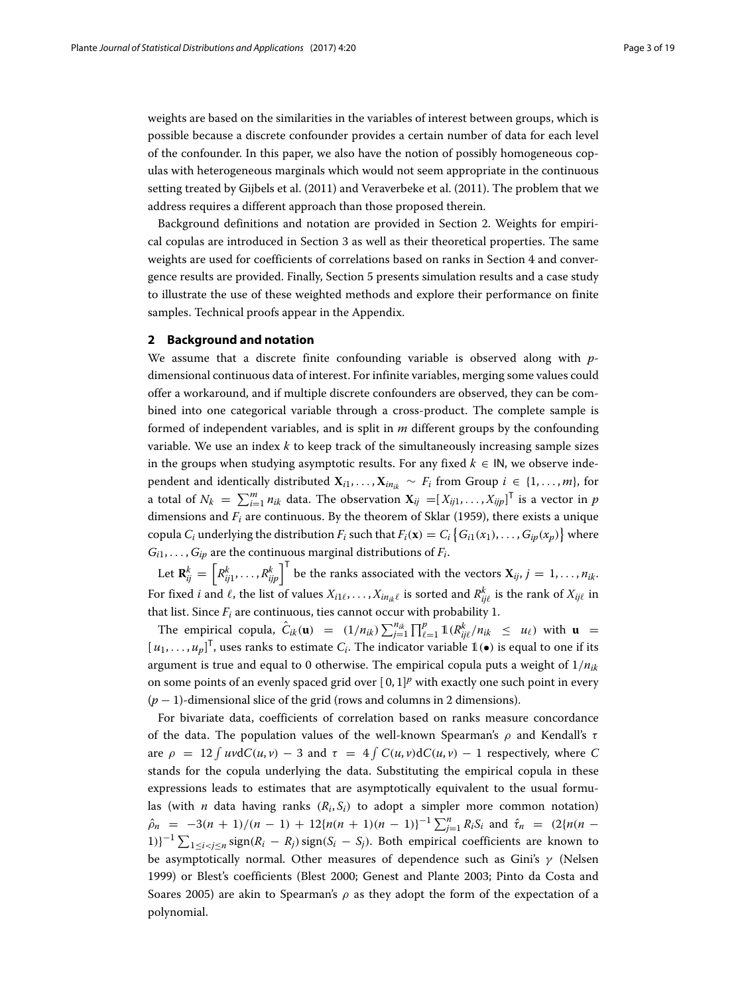weights are based on the similarities in the variables of interest between groups, which is possible because a discrete confounder provides a certain number of data for each level of the confounder. In this paper, we also have the notion of possibly homogeneous copulas with heterogeneous marginals which would not seem appropriate in the continuous setting treated by Gijbels et al. [\(2011\)](#page-18-6) and Veraverbeke et al. [\(2011\)](#page-18-7). The problem that we address requires a different approach than those proposed therein.

Background definitions and notation are provided in Section [2.](#page-2-0) Weights for empirical copulas are introduced in Section [3](#page-3-0) as well as their theoretical properties. The same weights are used for coefficients of correlations based on ranks in Section [4](#page-5-0) and convergence results are provided. Finally, Section [5](#page-7-0) presents simulation results and a case study to illustrate the use of these weighted methods and explore their performance on finite samples. Technical proofs appear in the [Appendix.](#page-16-0)

#### <span id="page-2-0"></span>**2 Background and notation**

We assume that a discrete finite confounding variable is observed along with *p*dimensional continuous data of interest. For infinite variables, merging some values could offer a workaround, and if multiple discrete confounders are observed, they can be combined into one categorical variable through a cross-product. The complete sample is formed of independent variables, and is split in *m* different groups by the confounding variable. We use an index *k* to keep track of the simultaneously increasing sample sizes in the groups when studying asymptotic results. For any fixed  $k \in \mathsf{IN}$ , we observe independent and identically distributed  $X_{i1}, \ldots, X_{in_{ik}} \sim F_i$  from Group  $i \in \{1, \ldots, m\}$ , for a total of  $N_k = \sum_{i=1}^m n_{ik}$  data. The observation  $\mathbf{X}_{ij} = [X_{ij1}, \ldots, X_{ijp}]^T$  is a vector in *p* dimensions and  $F_i$  are continuous. By the theorem of Sklar [\(1959\)](#page-18-8), there exists a unique copula  $C_i$  underlying the distribution  $F_i$  such that  $F_i(\mathbf{x}) = C_i \left\{ G_{i1}(x_1), \ldots, G_{ip}(x_p) \right\}$  where  $G_{i1}, \ldots, G_{in}$  are the continuous marginal distributions of  $F_i$ .

Let  $\mathbf{R}^k_{ij} = \left[ R^k_{ij1}, \ldots, R^k_{ijp} \right]^\mathsf{T}$  be the ranks associated with the vectors  $\mathbf{X}_{ij}, j = 1, \ldots, n_{ik}$ . For fixed *i* and  $\ell$ , the list of values  $X_{i1\ell},\ldots,X_{in_{ik}\ell}$  is sorted and  $R^k_{ij\ell}$  is the rank of  $X_{ij\ell}$  in that list. Since  $F_i$  are continuous, ties cannot occur with probability 1.

The empirical copula,  $\hat{C}_{ik}(\mathbf{u}) = (1/n_{ik}) \sum_{j=1}^{n_{ik}}$  $\int_{i=1}^{n_{ik}} \prod_{\ell=1}^{p} \mathbb{1}(R_{ij\ell}^k/n_{ik} \leq u_{\ell})$  with  $\mathbf{u}$  =  $[u_1, \ldots, u_p]^\mathsf{T}$ , uses ranks to estimate  $C_i$ . The indicator variable  $\mathbb{1}(\bullet)$  is equal to one if its argument is true and equal to 0 otherwise. The empirical copula puts a weight of  $1/n_{ik}$ on some points of an evenly spaced grid over  $[0, 1]^p$  with exactly one such point in every (*p* − 1)-dimensional slice of the grid (rows and columns in 2 dimensions).

For bivariate data, coefficients of correlation based on ranks measure concordance of the data. The population values of the well-known Spearman's  $\rho$  and Kendall's  $\tau$ are  $\rho = 12 \int uv \, dC(u, v) - 3$  and  $\tau = 4 \int C(u, v) \, dC(u, v) - 1$  respectively, where C stands for the copula underlying the data. Substituting the empirical copula in these expressions leads to estimates that are asymptotically equivalent to the usual formulas (with *n* data having ranks  $(R_i, S_i)$  to adopt a simpler more common notation)  $\hat{\rho}_n = -3(n+1)/(n-1) + 12\{n(n+1)(n-1)\}^{-1} \sum_{j=1}^n R_i S_i$  and  $\hat{\tau}_n = (2\{n(n-1)\}^{-1})^{-1}$ 1)}<sup>-1</sup>  $\sum_{1 \leq i < j \leq n}$  sign( $R_i - R_j$ ) sign( $S_i - S_j$ ). Both empirical coefficients are known to be asymptotically normal. Other measures of dependence such as Gini's  $\gamma$  (Nelsen [1999\)](#page-18-9) or Blest's coefficients (Blest [2000;](#page-18-10) Genest and Plante [2003;](#page-18-11) Pinto da Costa and Soares [2005\)](#page-18-12) are akin to Spearman's  $\rho$  as they adopt the form of the expectation of a polynomial.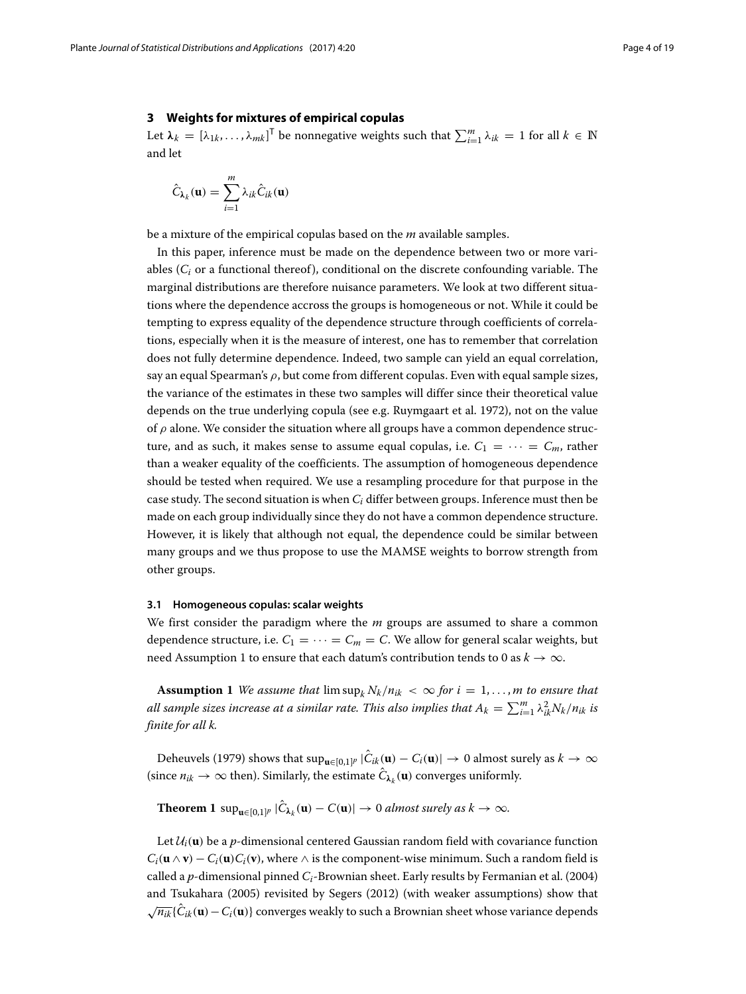#### <span id="page-3-0"></span>**3 Weights for mixtures of empirical copulas**

Let  $\lambda_k = [\lambda_{1k}, \dots, \lambda_{mk}]^T$  be nonnegative weights such that  $\sum_{i=1}^m \lambda_{ik} = 1$  for all  $k \in \mathbb{N}$ and let

$$
\hat{C}_{\lambda_k}(\mathbf{u}) = \sum_{i=1}^m \lambda_{ik} \hat{C}_{ik}(\mathbf{u})
$$

be a mixture of the empirical copulas based on the *m* available samples.

In this paper, inference must be made on the dependence between two or more variables  $(C_i)$  or a functional thereof), conditional on the discrete confounding variable. The marginal distributions are therefore nuisance parameters. We look at two different situations where the dependence accross the groups is homogeneous or not. While it could be tempting to express equality of the dependence structure through coefficients of correlations, especially when it is the measure of interest, one has to remember that correlation does not fully determine dependence. Indeed, two sample can yield an equal correlation, say an equal Spearman's  $\rho$ , but come from different copulas. Even with equal sample sizes, the variance of the estimates in these two samples will differ since their theoretical value depends on the true underlying copula (see e.g. Ruymgaart et al. [1972\)](#page-18-13), not on the value of  $\rho$  alone. We consider the situation where all groups have a common dependence structure, and as such, it makes sense to assume equal copulas, i.e.  $C_1 = \cdots = C_m$ , rather than a weaker equality of the coefficients. The assumption of homogeneous dependence should be tested when required. We use a resampling procedure for that purpose in the case study. The second situation is when *Ci* differ between groups. Inference must then be made on each group individually since they do not have a common dependence structure. However, it is likely that although not equal, the dependence could be similar between many groups and we thus propose to use the MAMSE weights to borrow strength from other groups.

#### <span id="page-3-2"></span>**3.1 Homogeneous copulas: scalar weights**

We first consider the paradigm where the *m* groups are assumed to share a common dependence structure, i.e.  $C_1 = \cdots = C_m = C$ . We allow for general scalar weights, but need Assumption [1](#page-3-1) to ensure that each datum's contribution tends to 0 as  $k \to \infty$ .

<span id="page-3-1"></span>**Assumption 1** *We assume that*  $\limsup_k N_k/n_{ik} < \infty$  for  $i = 1, ..., m$  to ensure that  $a$ ll sample sizes increase at a similar rate. This also implies that  $A_k = \sum_{i=1}^m \lambda_{ik}^2 N_k/n_{ik}$  is *finite for all k.*

Deheuvels [\(1979\)](#page-18-14) shows that  $\sup_{\mathbf{u}\in[0,1]^p}|\hat{C}_{ik}(\mathbf{u})-C_i(\mathbf{u})|\to 0$  almost surely as  $k\to\infty$ (since  $n_{ik} \to \infty$  then). Similarly, the estimate  $\hat{C}_{\lambda_k}(\mathbf{u})$  converges uniformly.

<span id="page-3-3"></span>**Theorem 1** sup<sub>u∈[0,1]</sub>*p*  $|\hat{C}_{\lambda_k}(\mathbf{u}) - C(\mathbf{u})| \to 0$  *almost surely as*  $k \to \infty$ *.* 

Let  $\mathcal{U}_i(\mathbf{u})$  be a *p*-dimensional centered Gaussian random field with covariance function  $C_i$ **(<b>u** ∧ **v**) −  $C_i$ **(<b>u**) $C_i$ **(v**), where  $\wedge$  is the component-wise minimum. Such a random field is called a *p*-dimensional pinned *Ci*-Brownian sheet. Early results by Fermanian et al. [\(2004\)](#page-18-15) and Tsukahara [\(2005\)](#page-18-16) revisited by Segers [\(2012\)](#page-18-17) (with weaker assumptions) show that <sup>√</sup>*nik*{*C*ˆ*ik*(**u**)−*Ci*(**u**)} converges weakly to such a Brownian sheet whose variance depends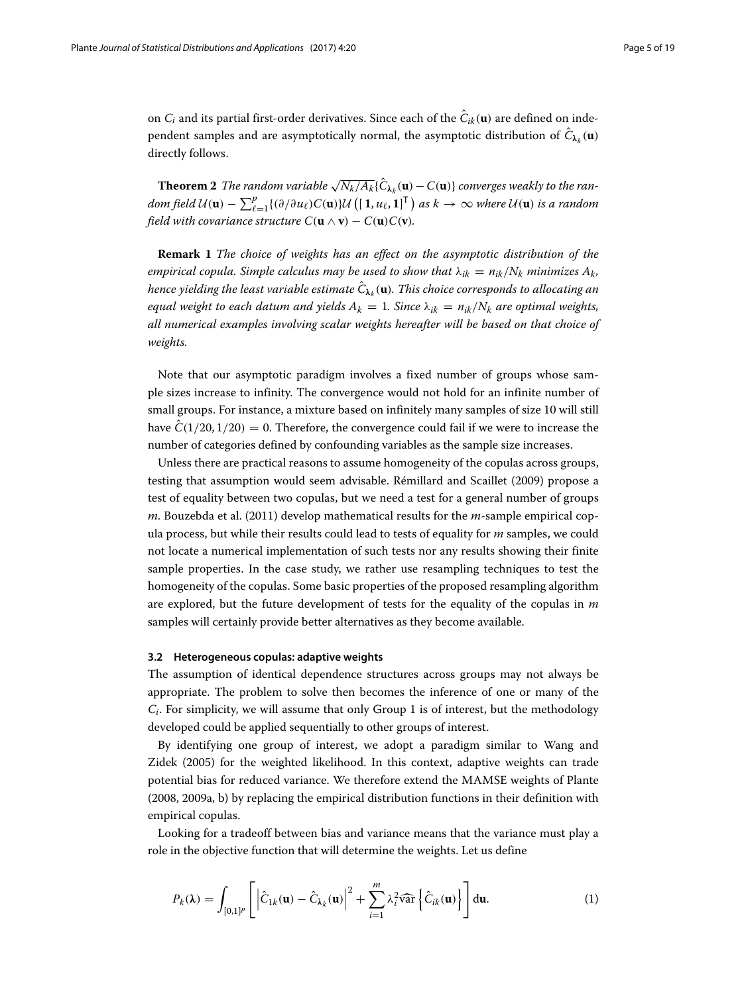on  $C_i$  and its partial first-order derivatives. Since each of the  $\hat{C}_{ik}(\mathbf{u})$  are defined on independent samples and are asymptotically normal, the asymptotic distribution of  $\hat{C}_{\lambda_k}(\mathbf{u})$ directly follows.

**Theorem 2** *The random variable*  $\sqrt{N_k/A_k}$  $\{ \hat{C}_{\lambda_k}(\mathbf{u}) - C(\mathbf{u}) \}$  *converges weakly to the random field*  $\mathcal{U}(\mathbf{u}) - \sum_{\ell}^{p}$  $_{\ell=1}^p\{(\partial/\partial u_\ell)C(\mathbf{u})\}\mathcal{U}\left([\mathbf{1},u_\ell,\mathbf{1}]^\mathsf{T}\right)$  as  $k\to\infty$  where  $\mathcal{U}(\mathbf{u})$  is a random *field with covariance structure*  $C(\mathbf{u} \wedge \mathbf{v}) - C(\mathbf{u})C(\mathbf{v})$ *.* 

**Remark 1** *The choice of weights has an effect on the asymptotic distribution of the empirical copula. Simple calculus may be used to show that*  $\lambda_{ik} = n_{ik}/N_k$  *minimizes*  $A_k$ , *hence yielding the least variable estimate*  $\hat{C}_{\lambda_k}(\mathbf{u})$ *. This choice corresponds to allocating an equal weight to each datum and yields*  $A_k = 1$ *. Since*  $\lambda_{ik} = n_{ik}/N_k$  *are optimal weights, all numerical examples involving scalar weights hereafter will be based on that choice of weights.*

Note that our asymptotic paradigm involves a fixed number of groups whose sample sizes increase to infinity. The convergence would not hold for an infinite number of small groups. For instance, a mixture based on infinitely many samples of size 10 will still have  $\hat{C}(1/20, 1/20) = 0$ . Therefore, the convergence could fail if we were to increase the number of categories defined by confounding variables as the sample size increases.

Unless there are practical reasons to assume homogeneity of the copulas across groups, testing that assumption would seem advisable. Rémillard and Scaillet [\(2009\)](#page-18-18) propose a test of equality between two copulas, but we need a test for a general number of groups *m*. Bouzebda et al. [\(2011\)](#page-18-19) develop mathematical results for the *m*-sample empirical copula process, but while their results could lead to tests of equality for *m* samples, we could not locate a numerical implementation of such tests nor any results showing their finite sample properties. In the case study, we rather use resampling techniques to test the homogeneity of the copulas. Some basic properties of the proposed resampling algorithm are explored, but the future development of tests for the equality of the copulas in *m* samples will certainly provide better alternatives as they become available.

#### **3.2 Heterogeneous copulas: adaptive weights**

The assumption of identical dependence structures across groups may not always be appropriate. The problem to solve then becomes the inference of one or many of the *Ci*. For simplicity, we will assume that only Group 1 is of interest, but the methodology developed could be applied sequentially to other groups of interest.

By identifying one group of interest, we adopt a paradigm similar to Wang and Zidek [\(2005\)](#page-18-20) for the weighted likelihood. In this context, adaptive weights can trade potential bias for reduced variance. We therefore extend the MAMSE weights of Plante [\(2008,](#page-18-1) [2009a,](#page-18-2) [b\)](#page-18-3) by replacing the empirical distribution functions in their definition with empirical copulas.

Looking for a tradeoff between bias and variance means that the variance must play a role in the objective function that will determine the weights. Let us define

<span id="page-4-0"></span>
$$
P_k(\lambda) = \int_{[0,1]^p} \left[ \left| \hat{C}_{1k}(\mathbf{u}) - \hat{C}_{\lambda_k}(\mathbf{u}) \right|^2 + \sum_{i=1}^m \lambda_i^2 \widehat{\text{var}} \left\{ \hat{C}_{ik}(\mathbf{u}) \right\} \right] d\mathbf{u}.
$$
 (1)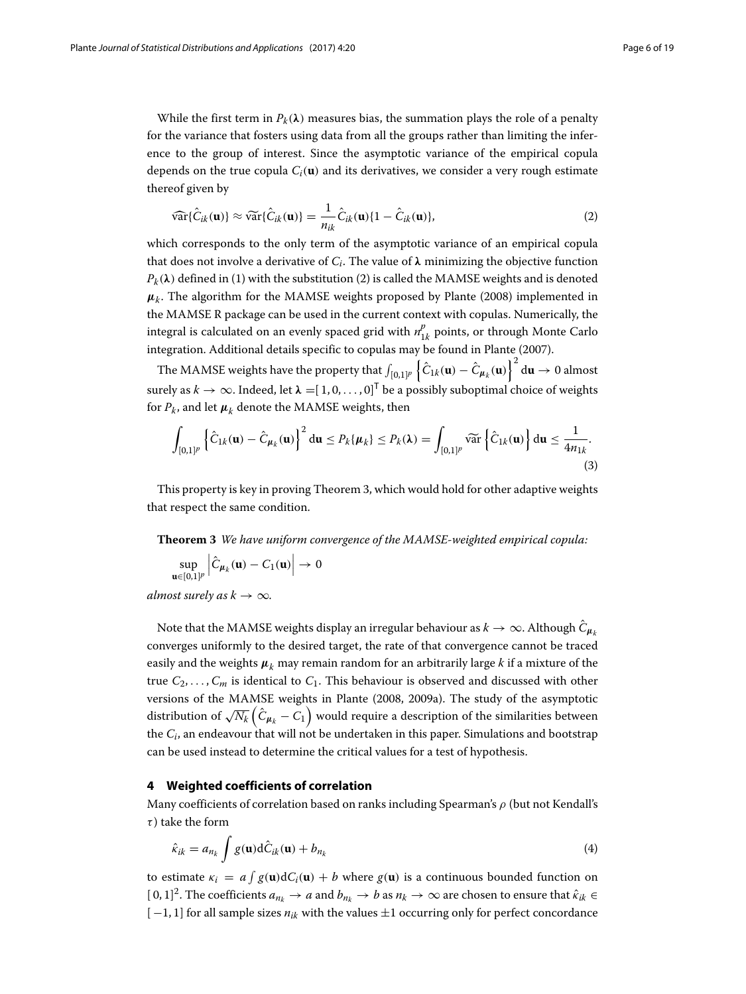While the first term in  $P_k(\lambda)$  measures bias, the summation plays the role of a penalty for the variance that fosters using data from all the groups rather than limiting the inference to the group of interest. Since the asymptotic variance of the empirical copula depends on the true copula  $C_i(\mathbf{u})$  and its derivatives, we consider a very rough estimate thereof given by

<span id="page-5-1"></span>
$$
\widehat{\text{var}}\{\hat{C}_{ik}(\mathbf{u})\} \approx \widehat{\text{var}}\{\hat{C}_{ik}(\mathbf{u})\} = \frac{1}{n_{ik}}\hat{C}_{ik}(\mathbf{u})\{1 - \hat{C}_{ik}(\mathbf{u})\},\tag{2}
$$

which corresponds to the only term of the asymptotic variance of an empirical copula that does not involve a derivative of  $C_i$ . The value of  $\lambda$  minimizing the objective function  $P_k(\lambda)$  defined in [\(1\)](#page-4-0) with the substitution [\(2\)](#page-5-1) is called the MAMSE weights and is denoted  $\mu_k$ . The algorithm for the MAMSE weights proposed by Plante [\(2008\)](#page-18-1) implemented in the MAMSE R package can be used in the current context with copulas. Numerically, the integral is calculated on an evenly spaced grid with  $n_{1k}^p$  points, or through Monte Carlo integration. Additional details specific to copulas may be found in Plante [\(2007\)](#page-18-21).

The MAMSE weights have the property that  $\int_{[0,1]^p}\left\{\hat{C}_{1k}(\mathbf{u})-\hat{C}_{\pmb{\mu}_k}(\mathbf{u})\right\}^2\mathrm{d}\mathbf{u}\to 0$  almost surely as  $k \to \infty$ . Indeed, let  $\lambda = [1, 0, \ldots, 0]^T$  be a possibly suboptimal choice of weights for  $P_k$ , and let  $\mu_k$  denote the MAMSE weights, then

<span id="page-5-3"></span>
$$
\int_{[0,1]^p} \left\{ \hat{C}_{1k}(\mathbf{u}) - \hat{C}_{\mu_k}(\mathbf{u}) \right\}^2 d\mathbf{u} \le P_k\{\mu_k\} \le P_k(\lambda) = \int_{[0,1]^p} \widetilde{\text{var}} \left\{ \hat{C}_{1k}(\mathbf{u}) \right\} d\mathbf{u} \le \frac{1}{4n_{1k}}.
$$
\n(3)

This property is key in proving Theorem [3,](#page-5-2) which would hold for other adaptive weights that respect the same condition.

<span id="page-5-2"></span>**Theorem 3** *We have uniform convergence of the MAMSE-weighted empirical copula:*

$$
\sup_{\mathbf{u}\in[0,1]^p}\left|\hat{C}_{\mu_k}(\mathbf{u})-C_1(\mathbf{u})\right|\to 0
$$

*almost surely as*  $k \to \infty$ *.* 

Note that the MAMSE weights display an irregular behaviour as  $k \to \infty$ . Although  $\hat{C}_{\mu_k}$ converges uniformly to the desired target, the rate of that convergence cannot be traced easily and the weights  $\mu_k$  may remain random for an arbitrarily large *k* if a mixture of the true  $C_2, \ldots, C_m$  is identical to  $C_1$ . This behaviour is observed and discussed with other versions of the MAMSE weights in Plante [\(2008,](#page-18-1) [2009a\)](#page-18-2). The study of the asymptotic distribution of  $\sqrt{N_k}\left(\hat{C}_{\bm{\mu}_k}-\bar{C_1}\right)$  would require a description of the similarities between the *Ci*, an endeavour that will not be undertaken in this paper. Simulations and bootstrap can be used instead to determine the critical values for a test of hypothesis.

#### <span id="page-5-0"></span>**4 Weighted coefficients of correlation**

Many coefficients of correlation based on ranks including Spearman's  $\rho$  (but not Kendall's  $\tau$ ) take the form

$$
\hat{\kappa}_{ik} = a_{n_k} \int g(\mathbf{u}) \mathrm{d}\hat{C}_{ik}(\mathbf{u}) + b_{n_k} \tag{4}
$$

to estimate  $\kappa_i = a \int g(\mathbf{u}) dC_i(\mathbf{u}) + b$  where  $g(\mathbf{u})$  is a continuous bounded function on  $[0, 1]^2$ . The coefficients  $a_{n_k} \to a$  and  $b_{n_k} \to b$  as  $n_k \to \infty$  are chosen to ensure that  $\hat{\kappa}_{ik} \in$ [ −1, 1] for all sample sizes *nik* with the values ±1 occurring only for perfect concordance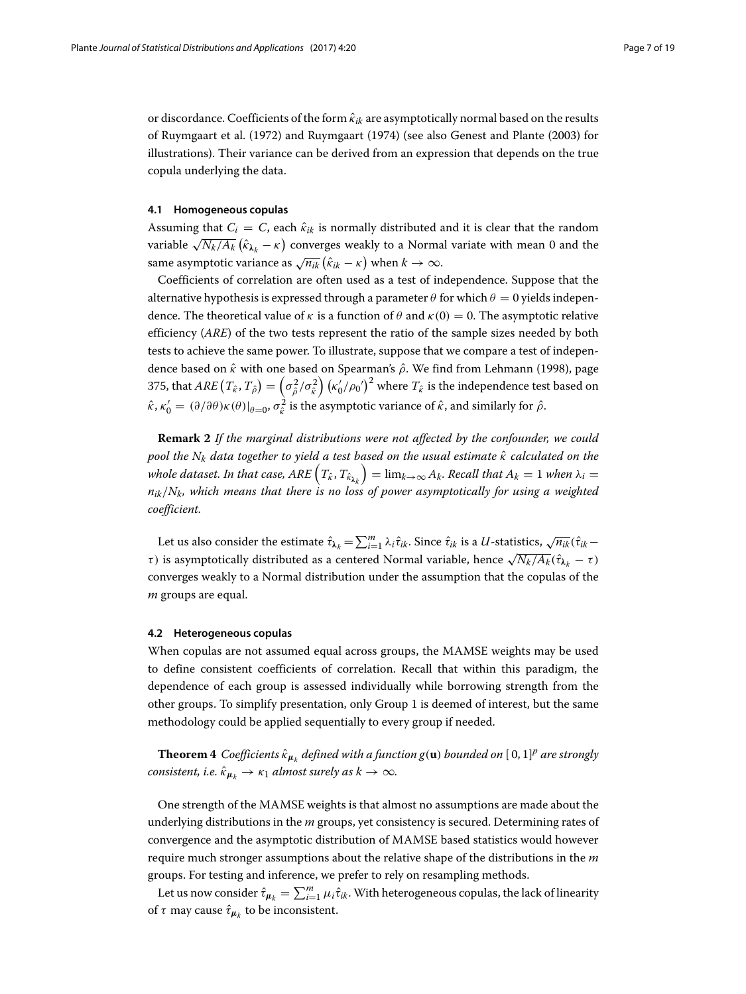or discordance. Coefficients of the form  $\hat{\kappa}_{ik}$  are asymptotically normal based on the results of Ruymgaart et al. [\(1972\)](#page-18-13) and Ruymgaart [\(1974\)](#page-18-22) (see also Genest and Plante [\(2003\)](#page-18-11) for illustrations). Their variance can be derived from an expression that depends on the true copula underlying the data.

#### **4.1 Homogeneous copulas**

Assuming that  $C_i = C$ , each  $\hat{\kappa}_{ik}$  is normally distributed and it is clear that the random variable  $\sqrt{N_k/A_k}\left(\hat{\kappa}_{\bm{\lambda}_k}-\kappa\right)$  converges weakly to a Normal variate with mean 0 and the same asymptotic variance as  $\sqrt{n_{ik}} (\hat{k}_{ik} - \kappa)$  when  $k \to \infty$ .

Coefficients of correlation are often used as a test of independence. Suppose that the alternative hypothesis is expressed through a parameter  $\theta$  for which  $\theta = 0$  yields independence. The theoretical value of  $\kappa$  is a function of  $\theta$  and  $\kappa(0) = 0$ . The asymptotic relative efficiency (*ARE*) of the two tests represent the ratio of the sample sizes needed by both tests to achieve the same power. To illustrate, suppose that we compare a test of independence based on  $\hat{k}$  with one based on Spearman's  $\hat{\rho}$ . We find from Lehmann [\(1998\)](#page-18-23), page 375, that  $ARE\left(T_{\hat{k}},T_{\hat{\rho}}\right)=\left(\sigma_{\hat{\rho}}^2/\sigma_{\hat{k}}^2\right)\left(\kappa_0'/\rho_0'\right)^2$  where  $T_{\hat{k}}$  is the independence test based on  $\hat{\kappa}, \kappa'_0 = (\partial/\partial \theta) \kappa(\theta)|_{\theta=0}, \sigma_{\hat{\kappa}}^2$  is the asymptotic variance of  $\hat{\kappa}$ , and similarly for  $\hat{\rho}$ .

<span id="page-6-0"></span>**Remark 2** *If the marginal distributions were not affected by the confounder, we could pool the* N<sub>k</sub> *data together to yield a test based on the usual estimate*  $\hat{\kappa}$  *calculated on the* whole dataset. In that case,  $ARE\left(T_{\hat k},T_{\hat k_{\lambda_{k}}}\right)=\lim_{k\to\infty}A_k.$  Recall that  $A_k=1$  when  $\lambda_i=1$ *nik*/*Nk, which means that there is no loss of power asymptotically for using a weighted coefficient.*

Let us also consider the estimate  $\hat{\tau}_{\pmb{\lambda}_k} = \sum_{i=1}^m \lambda_i \hat{\tau}_{ik}$ . Since  $\hat{\tau}_{ik}$  is a *U*-statistics,  $\sqrt{n_{ik}}(\hat{\tau}_{ik}$ *τ*) is asymptotically distributed as a centered Normal variable, hence  $\sqrt{N_k/A_k}$ ( $\hat{\tau}_{\lambda_k}$  − τ) converges weakly to a Normal distribution under the assumption that the copulas of the *m* groups are equal.

#### **4.2 Heterogeneous copulas**

When copulas are not assumed equal across groups, the MAMSE weights may be used to define consistent coefficients of correlation. Recall that within this paradigm, the dependence of each group is assessed individually while borrowing strength from the other groups. To simplify presentation, only Group 1 is deemed of interest, but the same methodology could be applied sequentially to every group if needed.

**Theorem 4** *Coefficients*  $\hat{\kappa}_{\mu_k}$  *defined with a function*  $g(\mathbf{u})$  *bounded on* [0,1]<sup>*p*</sup> *are strongly consistent, i.e.*  $\hat{\kappa}_{\mu_k} \rightarrow \kappa_1$  *almost surely as*  $k \rightarrow \infty$ *.* 

One strength of the MAMSE weights is that almost no assumptions are made about the underlying distributions in the *m* groups, yet consistency is secured. Determining rates of convergence and the asymptotic distribution of MAMSE based statistics would however require much stronger assumptions about the relative shape of the distributions in the *m* groups. For testing and inference, we prefer to rely on resampling methods.

Let us now consider  $\hat{\tau}_{\mu_k} = \sum_{i=1}^m \mu_i \hat{\tau}_{ik}$ . With heterogeneous copulas, the lack of linearity of  $\tau$  may cause  $\hat{\tau}_{\mu}$  to be inconsistent.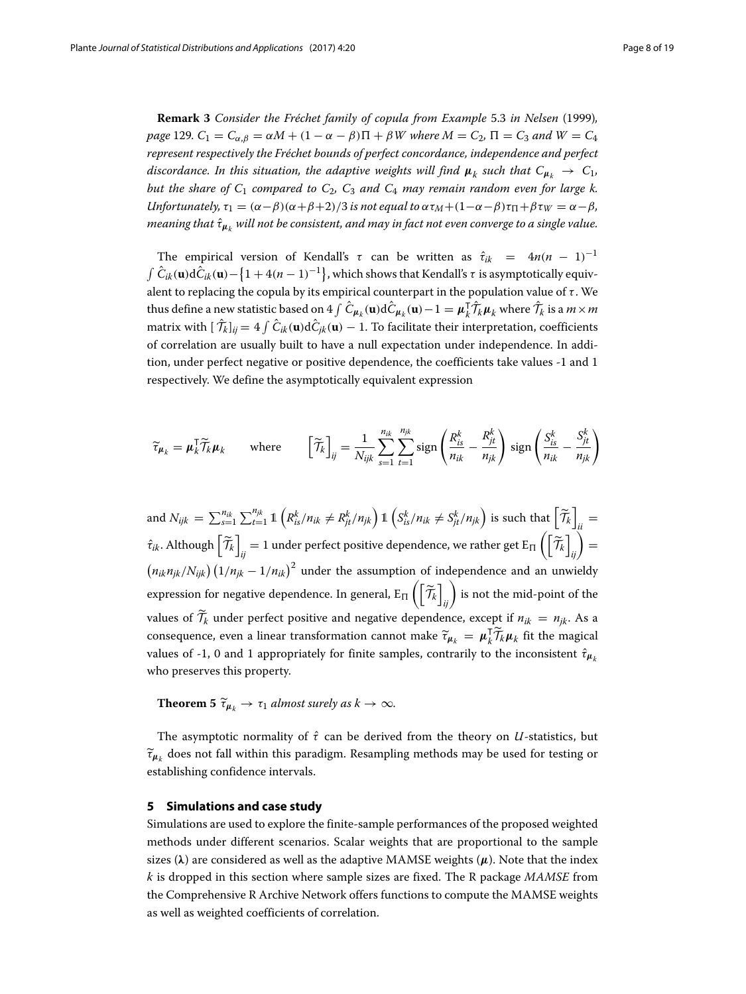**Remark 3** *Consider the Fréchet family of copula from Example* 5.3 *in Nelsen* [\(1999\)](#page-18-9)*, page* 129*.*  $C_1 = C_{\alpha,\beta} = \alpha M + (1 - \alpha - \beta)\Pi + \beta W$  where  $M = C_2$ ,  $\Pi = C_3$  and  $W = C_4$ *represent respectively the Fréchet bounds of perfect concordance, independence and perfect discordance. In this situation, the adaptive weights will find*  $\mu_k$  *such that*  $C_{\mu_k} \to C_1$ *, but the share of C*<sup>1</sup> *compared to C*2*, C*<sup>3</sup> *and C*<sup>4</sup> *may remain random even for large k. Unfortunately,*  $\tau_1 = (\alpha - \beta)(\alpha + \beta + 2)/3$  *is not equal to*  $\alpha \tau_M + (1 - \alpha - \beta)\tau_{\Pi} + \beta \tau_W = \alpha - \beta$ *, meaning that*  $\hat{\tau}_{\mu_k}$  *will not be consistent, and may in fact not even converge to a single value.* 

The empirical version of Kendall's  $\tau$  can be written as  $\hat{\tau}_{ik} = 4n(n-1)^{-1}$  $\int \hat{C}_{ik}(\mathbf{u})\mathrm{d}\hat{C}_{ik}(\mathbf{u})-\left\{ 1+4(n-1)^{-1}\right\}$ , which shows that Kendall's  $\tau$  is asymptotically equivalent to replacing the copula by its empirical counterpart in the population value of  $\tau$ . We thus define a new statistic based on  $4 \int \hat{C}_{\mu_k}(\mathbf{u}) d\hat{C}_{\mu_k}(\mathbf{u}) - 1 = \mu_k^T \hat{\mathcal{T}}_k \mu_k$  where  $\hat{\mathcal{T}}_k$  is a  $m \times m$ matrix with  $[\mathcal{T}_k]_{ij} = 4 \int \tilde{C}_{ik}(\mathbf{u}) d\tilde{C}_{jk}(\mathbf{u}) - 1$ . To facilitate their interpretation, coefficients of correlation are usually built to have a null expectation under independence. In addition, under perfect negative or positive dependence, the coefficients take values -1 and 1 respectively. We define the asymptotically equivalent expression

$$
\widetilde{\tau}_{\mu_k} = \mu_k^{\mathsf{T}} \widetilde{\mathcal{T}}_k \mu_k \quad \text{where} \quad \left[ \widetilde{\mathcal{T}}_k \right]_{ij} = \frac{1}{N_{ijk}} \sum_{s=1}^{n_{ik}} \sum_{t=1}^{n_{jk}} \text{sign} \left( \frac{R_{is}^k}{n_{ik}} - \frac{R_{jt}^k}{n_{jk}} \right) \text{sign} \left( \frac{S_{is}^k}{n_{ik}} - \frac{S_{jt}^k}{n_{jk}} \right)
$$

and  $N_{ijk} = \sum_{s=1}^{n_{ik}}$  $\sum_{s=1}^{n_{jk}} \sum_{t=1}^{n_{jk}} \mathbb{1} \left( R_{is}^k / n_{ik} \neq R_{jt}^k / n_{jk} \right) \mathbb{1} \left( S_{is}^k / n_{ik} \neq S_{jt}^k / n_{jk} \right)$  is such that  $\left[ \widetilde{\mathcal{T}}_k \right]_{ii} =$  $\hat{\tau}_{ik}$ . Although  $\left[\widetilde{\mathcal{T}}_k\right]_{ij}=1$  under perfect positive dependence, we rather get  $\text{E}_{\Pi}\left(\left[\widetilde{\mathcal{T}}_k\right]_{ij}\right)=0$  $\left(n_{ik}n_{jk}/N_{ijk}\right)\left(1/n_{jk}-1/n_{ik}\right)^2$  under the assumption of independence and an unwieldy expression for negative dependence. In general,  $\text{E}_{\Pi}\left(\left[\widetilde{\mathcal{T}}_k\right]_{ij}\right)$  is not the mid-point of the values of  $\mathcal{T}_k$  under perfect positive and negative dependence, except if  $n_{ik} = n_{jk}$ . As a consequence, even a linear transformation cannot make  $\tilde{\tau}_{\mu_k} = \mu_k^T \tilde{\mathcal{T}}_k \mu_k$  fit the magical values of -1, 0 and 1 appropriately for finite samples, contrarily to the inconsistent  $\hat{\tau}_{\mu_k}$ who preserves this property.

**Theorem 5**  $\tilde{\tau}_{\mu_k} \rightarrow \tau_1$  *almost surely as*  $k \rightarrow \infty$ *.* 

The asymptotic normality of  $\hat{\tau}$  can be derived from the theory on *U*-statistics, but  $\widetilde{\tau}_{\mu_k}$  does not fall within this paradigm. Resampling methods may be used for testing or establishing confidence intervals.

#### <span id="page-7-0"></span>**5 Simulations and case study**

Simulations are used to explore the finite-sample performances of the proposed weighted methods under different scenarios. Scalar weights that are proportional to the sample sizes  $(\lambda)$  are considered as well as the adaptive MAMSE weights  $(\mu)$ . Note that the index *k* is dropped in this section where sample sizes are fixed. The R package *MAMSE* from the Comprehensive R Archive Network offers functions to compute the MAMSE weights as well as weighted coefficients of correlation.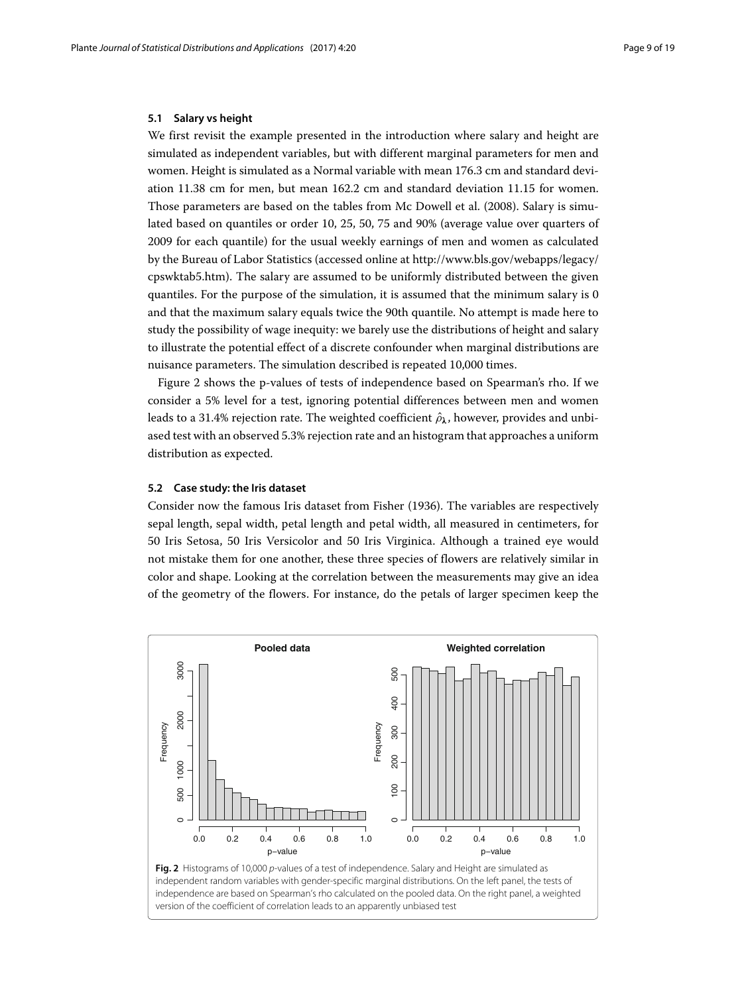#### **5.1 Salary vs height**

We first revisit the example presented in the introduction where salary and height are simulated as independent variables, but with different marginal parameters for men and women. Height is simulated as a Normal variable with mean 176.3 cm and standard deviation 11.38 cm for men, but mean 162.2 cm and standard deviation 11.15 for women. Those parameters are based on the tables from Mc Dowell et al. [\(2008\)](#page-18-0). Salary is simulated based on quantiles or order 10, 25, 50, 75 and 90% (average value over quarters of 2009 for each quantile) for the usual weekly earnings of men and women as calculated by the Bureau of Labor Statistics (accessed online at [http://www.bls.gov/webapps/legacy/](http://www.bls.gov/webapps/legacy/cpswktab5.htm) [cpswktab5.htm\)](http://www.bls.gov/webapps/legacy/cpswktab5.htm). The salary are assumed to be uniformly distributed between the given quantiles. For the purpose of the simulation, it is assumed that the minimum salary is 0 and that the maximum salary equals twice the 90th quantile. No attempt is made here to study the possibility of wage inequity: we barely use the distributions of height and salary to illustrate the potential effect of a discrete confounder when marginal distributions are nuisance parameters. The simulation described is repeated 10,000 times.

Figure [2](#page-8-0) shows the p-values of tests of independence based on Spearman's rho. If we consider a 5% level for a test, ignoring potential differences between men and women leads to a 31.4% rejection rate. The weighted coefficient  $\hat{\rho}_{\lambda}$ , however, provides and unbiased test with an observed 5.3% rejection rate and an histogram that approaches a uniform distribution as expected.

#### **5.2 Case study: the Iris dataset**

Consider now the famous Iris dataset from Fisher [\(1936\)](#page-18-24). The variables are respectively sepal length, sepal width, petal length and petal width, all measured in centimeters, for 50 Iris Setosa, 50 Iris Versicolor and 50 Iris Virginica. Although a trained eye would not mistake them for one another, these three species of flowers are relatively similar in color and shape. Looking at the correlation between the measurements may give an idea of the geometry of the flowers. For instance, do the petals of larger specimen keep the

<span id="page-8-0"></span>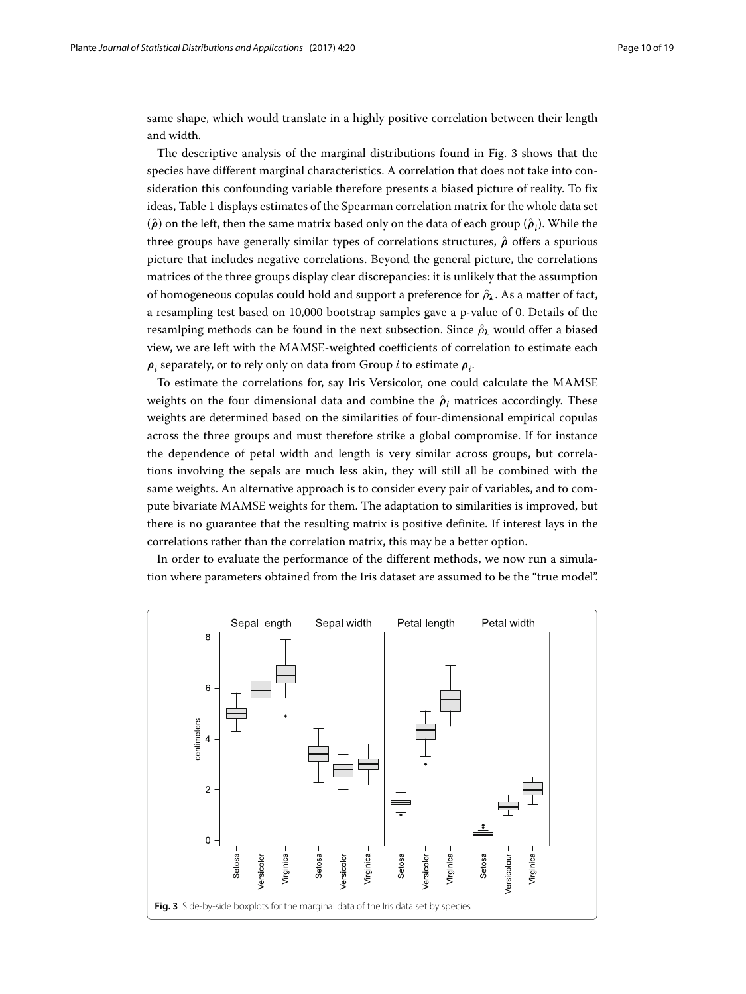same shape, which would translate in a highly positive correlation between their length and width.

The descriptive analysis of the marginal distributions found in Fig. [3](#page-9-0) shows that the species have different marginal characteristics. A correlation that does not take into consideration this confounding variable therefore presents a biased picture of reality. To fix ideas, Table [1](#page-10-0) displays estimates of the Spearman correlation matrix for the whole data set  $(\hat{\rho})$  on the left, then the same matrix based only on the data of each group  $(\hat{\rho}_i)$ . While the three groups have generally similar types of correlations structures, *ρ*ˆ offers a spurious picture that includes negative correlations. Beyond the general picture, the correlations matrices of the three groups display clear discrepancies: it is unlikely that the assumption of homogeneous copulas could hold and support a preference for  $\hat{\rho}_{\lambda}$ . As a matter of fact, a resampling test based on 10,000 bootstrap samples gave a p-value of 0. Details of the resamlping methods can be found in the next subsection. Since  $\hat{\rho}_{\lambda}$  would offer a biased view, we are left with the MAMSE-weighted coefficients of correlation to estimate each *ρ<sup>i</sup>* separately, or to rely only on data from Group *i* to estimate *ρi*.

To estimate the correlations for, say Iris Versicolor, one could calculate the MAMSE weights on the four dimensional data and combine the  $\hat{\rho}_i$  matrices accordingly. These weights are determined based on the similarities of four-dimensional empirical copulas across the three groups and must therefore strike a global compromise. If for instance the dependence of petal width and length is very similar across groups, but correlations involving the sepals are much less akin, they will still all be combined with the same weights. An alternative approach is to consider every pair of variables, and to compute bivariate MAMSE weights for them. The adaptation to similarities is improved, but there is no guarantee that the resulting matrix is positive definite. If interest lays in the correlations rather than the correlation matrix, this may be a better option.

In order to evaluate the performance of the different methods, we now run a simulation where parameters obtained from the Iris dataset are assumed to be the "true model".

<span id="page-9-0"></span>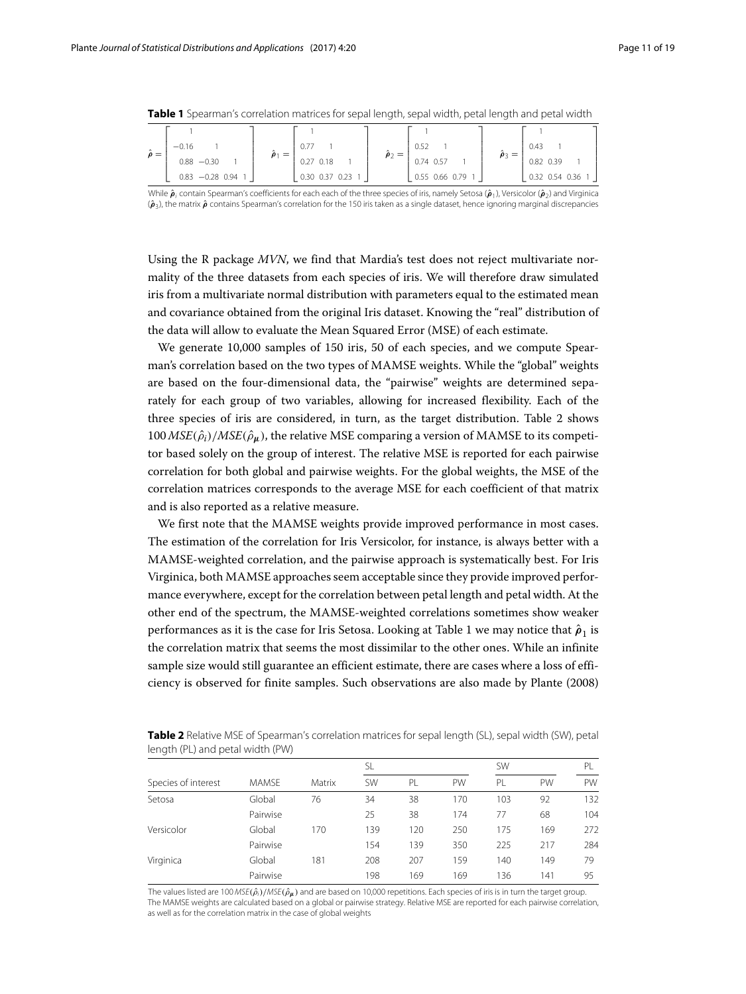|                             |         |                   |          |                |  | -          |                  |  | $\sim$           |                  |  |
|-----------------------------|---------|-------------------|----------|----------------|--|------------|------------------|--|------------------|------------------|--|
|                             |         |                   |          |                |  |            |                  |  |                  |                  |  |
| $\hat{\boldsymbol{\rho}} =$ | $-0.16$ |                   | $=$      |                |  | $\rho_2 =$ | 0.52             |  | $\hat{\rho}_3 =$ | 0.43             |  |
|                             |         | $0.88 - 0.30$     | $\rho_1$ | $0.27$ $0.18$  |  |            | 0.74 0.57        |  |                  | 0.82 0.39        |  |
|                             |         | $0.83 -0.28 0.94$ |          | 0.30 0.37 0.23 |  |            | 0.55 0.66 0.79 1 |  |                  | 0.32 0.54 0.36 1 |  |

<span id="page-10-0"></span>**Table 1** Spearman's correlation matrices for sepal length, sepal width, petal length and petal width

While  $\hat{\boldsymbol{\rho}}$ , contain Spearman's coefficients for each each of the three species of iris, namely Setosa ( $\hat{\boldsymbol{\rho}}$ <sub>1</sub>), Versicolor ( $\hat{\boldsymbol{\rho}}$ <sub>2</sub>) and Virginica (*ρ*ˆ 3), the matrix *ρ*ˆ contains Spearman's correlation for the 150 iris taken as a single dataset, hence ignoring marginal discrepancies

Using the R package *MVN*, we find that Mardia's test does not reject multivariate normality of the three datasets from each species of iris. We will therefore draw simulated iris from a multivariate normal distribution with parameters equal to the estimated mean and covariance obtained from the original Iris dataset. Knowing the "real" distribution of the data will allow to evaluate the Mean Squared Error (MSE) of each estimate.

We generate 10,000 samples of 150 iris, 50 of each species, and we compute Spearman's correlation based on the two types of MAMSE weights. While the "global" weights are based on the four-dimensional data, the "pairwise" weights are determined separately for each group of two variables, allowing for increased flexibility. Each of the three species of iris are considered, in turn, as the target distribution. Table [2](#page-10-1) shows  $100 \text{MSE}(\hat{\rho}_i)/\text{MSE}(\hat{\rho}_u)$ , the relative MSE comparing a version of MAMSE to its competitor based solely on the group of interest. The relative MSE is reported for each pairwise correlation for both global and pairwise weights. For the global weights, the MSE of the correlation matrices corresponds to the average MSE for each coefficient of that matrix and is also reported as a relative measure.

We first note that the MAMSE weights provide improved performance in most cases. The estimation of the correlation for Iris Versicolor, for instance, is always better with a MAMSE-weighted correlation, and the pairwise approach is systematically best. For Iris Virginica, both MAMSE approaches seem acceptable since they provide improved performance everywhere, except for the correlation between petal length and petal width. At the other end of the spectrum, the MAMSE-weighted correlations sometimes show weaker performances as it is the case for Iris Setosa. Looking at Table [1](#page-10-0) we may notice that  $\hat{\rho}_1$  is the correlation matrix that seems the most dissimilar to the other ones. While an infinite sample size would still guarantee an efficient estimate, there are cases where a loss of efficiency is observed for finite samples. Such observations are also made by Plante [\(2008\)](#page-18-1)

|                     |              | Matrix | <b>SL</b> |     |     | <b>SW</b> |     | PI  |  |
|---------------------|--------------|--------|-----------|-----|-----|-----------|-----|-----|--|
| Species of interest | <b>MAMSE</b> |        | <b>SW</b> | PL  | PW  | PL        | PW  | PW  |  |
| Setosa              | Global       | 76     | 34        | 38  | 170 | 103       | 92  | 132 |  |
|                     | Pairwise     |        | 25        | 38  | 174 | 77        | 68  | 104 |  |
| Versicolor          | Global       | 170    | 139       | 120 | 250 | 175       | 169 | 272 |  |
|                     | Pairwise     |        | 154       | 139 | 350 | 225       | 217 | 284 |  |
| Virginica           | Global       | 181    | 208       | 207 | 159 | 140       | 149 | 79  |  |
|                     | Pairwise     |        | 198       | 169 | 169 | 136       | 141 | 95  |  |

<span id="page-10-1"></span>**Table 2** Relative MSE of Spearman's correlation matrices for sepal length (SL), sepal width (SW), petal length (PL) and petal width (PW)

The values listed are 100 MSE( $ρ̃<sub>i</sub>$ )/MSE( $ρ̃<sub>μ</sub>$ ) and are based on 10,000 repetitions. Each species of iris is in turn the target group. The MAMSE weights are calculated based on a global or pairwise strategy. Relative MSE are reported for each pairwise correlation, as well as for the correlation matrix in the case of global weights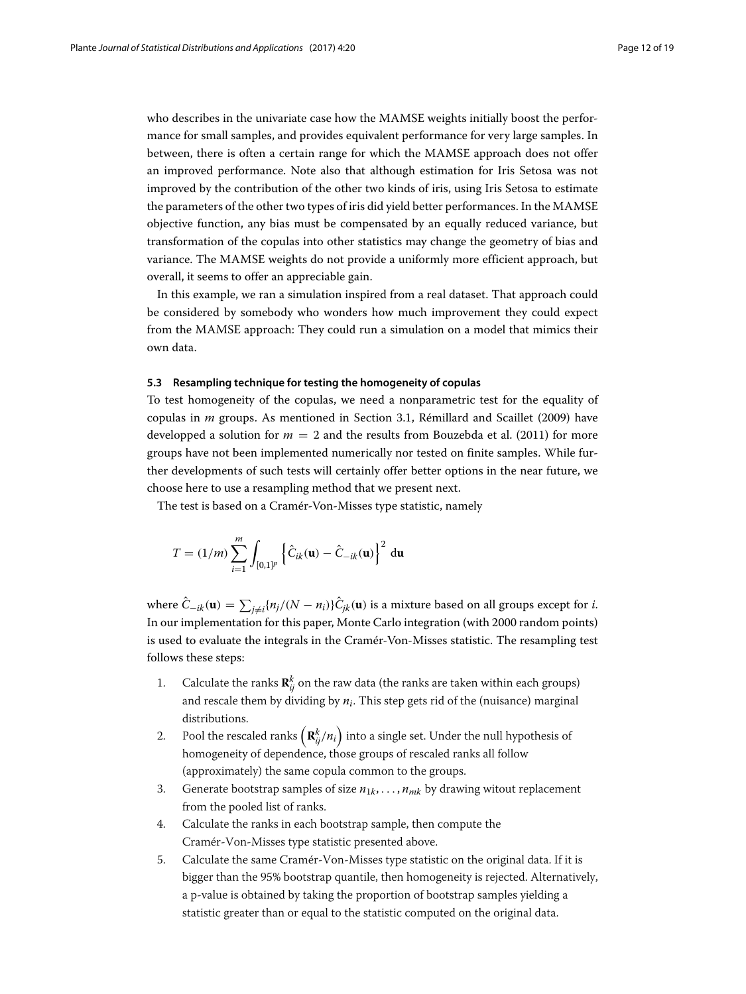who describes in the univariate case how the MAMSE weights initially boost the performance for small samples, and provides equivalent performance for very large samples. In between, there is often a certain range for which the MAMSE approach does not offer an improved performance. Note also that although estimation for Iris Setosa was not improved by the contribution of the other two kinds of iris, using Iris Setosa to estimate the parameters of the other two types of iris did yield better performances. In the MAMSE objective function, any bias must be compensated by an equally reduced variance, but transformation of the copulas into other statistics may change the geometry of bias and variance. The MAMSE weights do not provide a uniformly more efficient approach, but overall, it seems to offer an appreciable gain.

In this example, we ran a simulation inspired from a real dataset. That approach could be considered by somebody who wonders how much improvement they could expect from the MAMSE approach: They could run a simulation on a model that mimics their own data.

#### **5.3 Resampling technique for testing the homogeneity of copulas**

To test homogeneity of the copulas, we need a nonparametric test for the equality of copulas in *m* groups. As mentioned in Section [3.1,](#page-3-2) Rémillard and Scaillet [\(2009\)](#page-18-18) have developped a solution for  $m = 2$  and the results from Bouzebda et al. [\(2011\)](#page-18-19) for more groups have not been implemented numerically nor tested on finite samples. While further developments of such tests will certainly offer better options in the near future, we choose here to use a resampling method that we present next.

The test is based on a Cramér-Von-Misses type statistic, namely

$$
T = (1/m) \sum_{i=1}^{m} \int_{[0,1]^p} \left\{ \hat{C}_{ik}(\mathbf{u}) - \hat{C}_{-ik}(\mathbf{u}) \right\}^2 d\mathbf{u}
$$

where  $C_{-ik}(\mathbf{u}) = \sum_{j \neq i} \{n_j/(N-n_i)\} C_{jk}(\mathbf{u})$  is a mixture based on all groups except for *i*. In our implementation for this paper, Monte Carlo integration (with 2000 random points) is used to evaluate the integrals in the Cramér-Von-Misses statistic. The resampling test follows these steps:

- 1. Calculate the ranks  $\mathbf{R}_{ij}^k$  on the raw data (the ranks are taken within each groups) and rescale them by dividing by  $n_i$ . This step gets rid of the (nuisance) marginal distributions.
- 2. Pool the rescaled ranks  $\left(\mathbf{R}_{ij}^k/n_i\right)$  into a single set. Under the null hypothesis of homogeneity of dependence, those groups of rescaled ranks all follow (approximately) the same copula common to the groups.
- 3. Generate bootstrap samples of size  $n_{1k}, \ldots, n_{mk}$  by drawing witout replacement from the pooled list of ranks.
- 4. Calculate the ranks in each bootstrap sample, then compute the Cramér-Von-Misses type statistic presented above.
- 5. Calculate the same Cramér-Von-Misses type statistic on the original data. If it is bigger than the 95% bootstrap quantile, then homogeneity is rejected. Alternatively, a p-value is obtained by taking the proportion of bootstrap samples yielding a statistic greater than or equal to the statistic computed on the original data.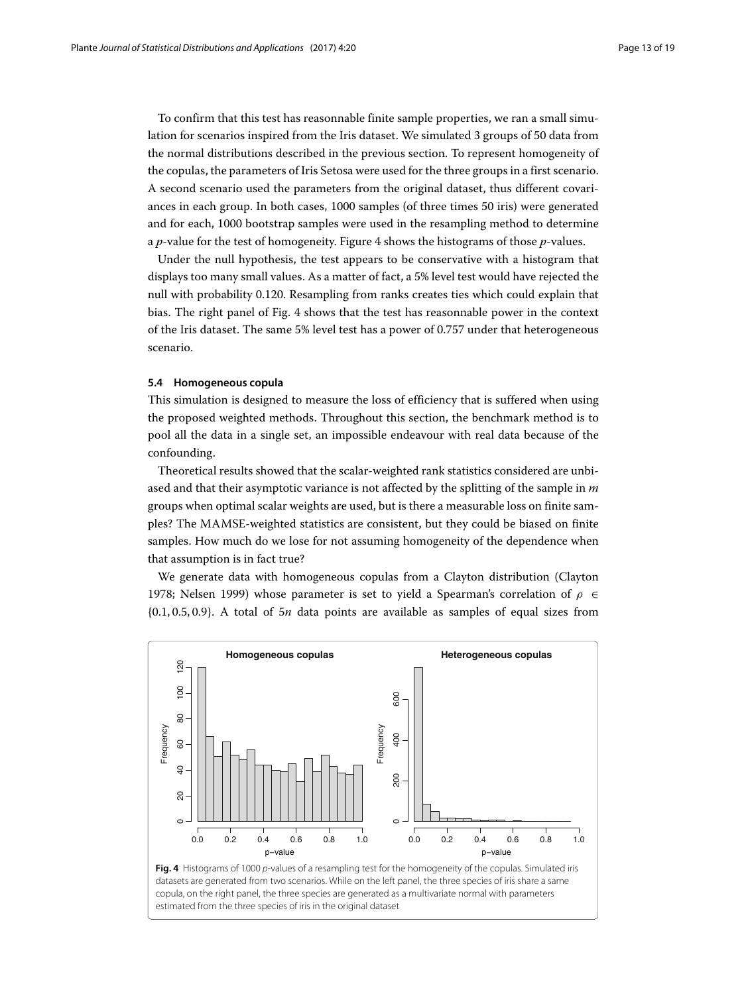To confirm that this test has reasonnable finite sample properties, we ran a small simulation for scenarios inspired from the Iris dataset. We simulated 3 groups of 50 data from the normal distributions described in the previous section. To represent homogeneity of the copulas, the parameters of Iris Setosa were used for the three groups in a first scenario. A second scenario used the parameters from the original dataset, thus different covariances in each group. In both cases, 1000 samples (of three times 50 iris) were generated and for each, 1000 bootstrap samples were used in the resampling method to determine a *p*-value for the test of homogeneity. Figure [4](#page-12-0) shows the histograms of those *p*-values.

Under the null hypothesis, the test appears to be conservative with a histogram that displays too many small values. As a matter of fact, a 5% level test would have rejected the null with probability 0.120. Resampling from ranks creates ties which could explain that bias. The right panel of Fig. [4](#page-12-0) shows that the test has reasonnable power in the context of the Iris dataset. The same 5% level test has a power of 0.757 under that heterogeneous scenario.

#### **5.4 Homogeneous copula**

This simulation is designed to measure the loss of efficiency that is suffered when using the proposed weighted methods. Throughout this section, the benchmark method is to pool all the data in a single set, an impossible endeavour with real data because of the confounding.

Theoretical results showed that the scalar-weighted rank statistics considered are unbiased and that their asymptotic variance is not affected by the splitting of the sample in *m* groups when optimal scalar weights are used, but is there a measurable loss on finite samples? The MAMSE-weighted statistics are consistent, but they could be biased on finite samples. How much do we lose for not assuming homogeneity of the dependence when that assumption is in fact true?

We generate data with homogeneous copulas from a Clayton distribution (Clayton [1978;](#page-18-25) Nelsen [1999\)](#page-18-9) whose parameter is set to yield a Spearman's correlation of  $\rho \in$ {0.1, 0.5, 0.9}. A total of 5*n* data points are available as samples of equal sizes from

<span id="page-12-0"></span>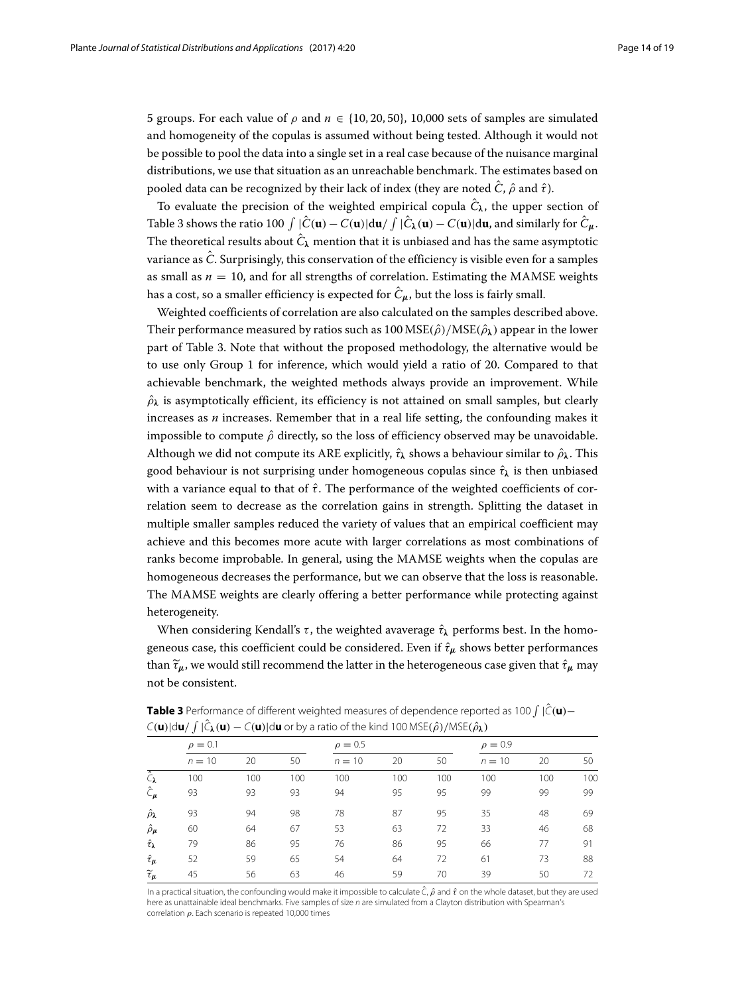5 groups. For each value of  $\rho$  and  $n \in \{10, 20, 50\}$ , 10,000 sets of samples are simulated and homogeneity of the copulas is assumed without being tested. Although it would not be possible to pool the data into a single set in a real case because of the nuisance marginal distributions, we use that situation as an unreachable benchmark. The estimates based on pooled data can be recognized by their lack of index (they are noted  $\hat{C}$ ,  $\hat{\rho}$  and  $\hat{\tau}$ ).

To evaluate the precision of the weighted empirical copula  $\hat{C}_{\lambda}$ , the upper section of Table [3](#page-13-0) shows the ratio 100  $\int |\hat{C}(\mathbf{u}) - C(\mathbf{u})| d\mathbf{u} / \int |\hat{C}_{\lambda}(\mathbf{u}) - C(\mathbf{u})| d\mathbf{u}$ , and similarly for  $\hat{C}_{\mu}$ . The theoretical results about  $\hat{C}_{\lambda}$  mention that it is unbiased and has the same asymptotic variance as  $\hat{C}$ . Surprisingly, this conservation of the efficiency is visible even for a samples as small as  $n = 10$ , and for all strengths of correlation. Estimating the MAMSE weights has a cost, so a smaller efficiency is expected for  $\hat{C}_{\mu}$ , but the loss is fairly small.

Weighted coefficients of correlation are also calculated on the samples described above. Their performance measured by ratios such as  $100 \text{ MSE}(\hat{\rho}) / \text{MSE}(\hat{\rho})$  appear in the lower part of Table [3.](#page-13-0) Note that without the proposed methodology, the alternative would be to use only Group 1 for inference, which would yield a ratio of 20. Compared to that achievable benchmark, the weighted methods always provide an improvement. While  $\hat{\rho}_{\lambda}$  is asymptotically efficient, its efficiency is not attained on small samples, but clearly increases as *n* increases. Remember that in a real life setting, the confounding makes it impossible to compute  $\hat{\rho}$  directly, so the loss of efficiency observed may be unavoidable. Although we did not compute its ARE explicitly,  $\hat{\tau}_{\lambda}$  shows a behaviour similar to  $\hat{\rho}_{\lambda}$ . This good behaviour is not surprising under homogeneous copulas since  $\hat{\tau}_{\lambda}$  is then unbiased with a variance equal to that of  $\hat{\tau}$ . The performance of the weighted coefficients of correlation seem to decrease as the correlation gains in strength. Splitting the dataset in multiple smaller samples reduced the variety of values that an empirical coefficient may achieve and this becomes more acute with larger correlations as most combinations of ranks become improbable. In general, using the MAMSE weights when the copulas are homogeneous decreases the performance, but we can observe that the loss is reasonable. The MAMSE weights are clearly offering a better performance while protecting against heterogeneity.

When considering Kendall's  $\tau$ , the weighted avaverage  $\hat{\tau}_{\lambda}$  performs best. In the homogeneous case, this coefficient could be considered. Even if  $\hat{\tau}_{\mu}$  shows better performances than  $\tilde{\tau}_{\mu}$ , we would still recommend the latter in the heterogeneous case given that  $\hat{\tau}_{\mu}$  may not be consistent.

|                                | $\sim$ (w)  $\sim$ w) $\sim$ (w) |     | $C(\bullet)$ and $C(\bullet)$ and the first mind not model $\mu$ $\mu$ model $\mu$ |              |     |     |              |     |     |  |  |
|--------------------------------|----------------------------------|-----|------------------------------------------------------------------------------------|--------------|-----|-----|--------------|-----|-----|--|--|
|                                | $\rho = 0.1$                     |     |                                                                                    | $\rho = 0.5$ |     |     | $\rho = 0.9$ |     |     |  |  |
|                                | $n = 10$                         | 20  | 50                                                                                 | $n = 10$     | 20  | 50  | $n = 10$     | 20  | 50  |  |  |
| $\overline{\hat{C}_{\lambda}}$ | 100                              | 100 | 100                                                                                | 100          | 100 | 100 | 100          | 100 | 100 |  |  |
| $\hat{\mathbf{C}}_{\mu}$       | 93                               | 93  | 93                                                                                 | 94           | 95  | 95  | 99           | 99  | 99  |  |  |
| $\hat{\rho}_{\pmb{\lambda}}$   | 93                               | 94  | 98                                                                                 | 78           | 87  | 95  | 35           | 48  | 69  |  |  |
| $\hat{\rho}_{\mu}$             | 60                               | 64  | 67                                                                                 | 53           | 63  | 72  | 33           | 46  | 68  |  |  |
| $\hat{\tau}_{\lambda}$         | 79                               | 86  | 95                                                                                 | 76           | 86  | 95  | 66           | 77  | 91  |  |  |
| $\hat{\tau}_{\mu}$             | 52                               | 59  | 65                                                                                 | 54           | 64  | 72  | 61           | 73  | 88  |  |  |
| $\widetilde{\tau}_{\pmb{\mu}}$ | 45                               | 56  | 63                                                                                 | 46           | 59  | 70  | 39           | 50  | 72  |  |  |
|                                |                                  |     |                                                                                    |              |     |     |              |     |     |  |  |

<span id="page-13-0"></span>**Table 3** Performance of different weighted measures of dependence reported as 100  $\int |\hat{C}(\mathbf{u}) C$ (**u**)|d**u**/  $\int |\hat{C}_λ$ (**u**) −  $C$ (**u**)|d**u** or by a ratio of the kind 100 MSE( $\hat{ρ}$ )/MSE( $\hat{ρ}$  $λ$ )

In a practical situation, the confounding would make it impossible to calculate  $\tilde{C}$ ,  $\hat{\rho}$  and  $\hat{\tau}$  on the whole dataset, but they are used here as unattainable ideal benchmarks. Five samples of size n are simulated from a Clayton distribution with Spearman's correlation  $\rho$ . Each scenario is repeated 10,000 times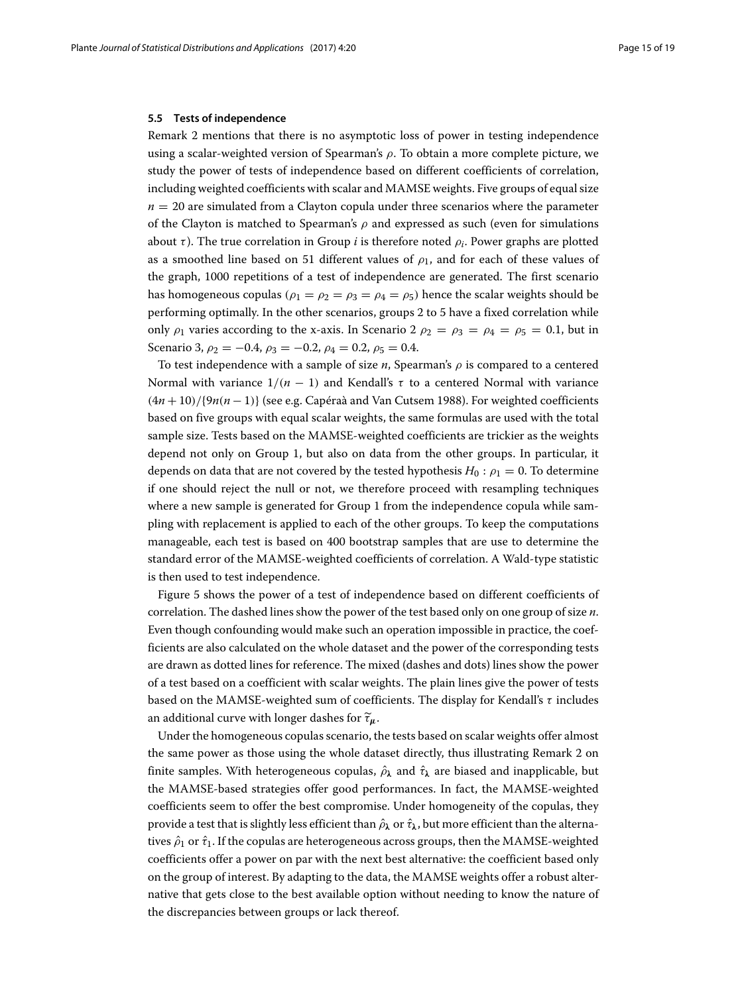#### **5.5 Tests of independence**

Remark [2](#page-6-0) mentions that there is no asymptotic loss of power in testing independence using a scalar-weighted version of Spearman's  $\rho$ . To obtain a more complete picture, we study the power of tests of independence based on different coefficients of correlation, including weighted coefficients with scalar and MAMSE weights. Five groups of equal size  $n = 20$  are simulated from a Clayton copula under three scenarios where the parameter of the Clayton is matched to Spearman's  $\rho$  and expressed as such (even for simulations about  $\tau$ ). The true correlation in Group *i* is therefore noted  $\rho_i$ . Power graphs are plotted as a smoothed line based on 51 different values of  $\rho_1$ , and for each of these values of the graph, 1000 repetitions of a test of independence are generated. The first scenario has homogeneous copulas ( $\rho_1 = \rho_2 = \rho_3 = \rho_4 = \rho_5$ ) hence the scalar weights should be performing optimally. In the other scenarios, groups 2 to 5 have a fixed correlation while only  $\rho_1$  varies according to the x-axis. In Scenario 2  $\rho_2 = \rho_3 = \rho_4 = \rho_5 = 0.1$ , but in Scenario 3,  $\rho_2 = -0.4$ ,  $\rho_3 = -0.2$ ,  $\rho_4 = 0.2$ ,  $\rho_5 = 0.4$ .

To test independence with a sample of size  $n$ , Spearman's  $\rho$  is compared to a centered Normal with variance  $1/(n - 1)$  and Kendall's  $\tau$  to a centered Normal with variance (4*n* + 10)/{9*n*(*n* − 1)} (see e.g. Capéraà and Van Cutsem [1988\)](#page-18-26). For weighted coefficients based on five groups with equal scalar weights, the same formulas are used with the total sample size. Tests based on the MAMSE-weighted coefficients are trickier as the weights depend not only on Group 1, but also on data from the other groups. In particular, it depends on data that are not covered by the tested hypothesis  $H_0: \rho_1 = 0$ . To determine if one should reject the null or not, we therefore proceed with resampling techniques where a new sample is generated for Group 1 from the independence copula while sampling with replacement is applied to each of the other groups. To keep the computations manageable, each test is based on 400 bootstrap samples that are use to determine the standard error of the MAMSE-weighted coefficients of correlation. A Wald-type statistic is then used to test independence.

Figure [5](#page-15-0) shows the power of a test of independence based on different coefficients of correlation. The dashed lines show the power of the test based only on one group of size *n*. Even though confounding would make such an operation impossible in practice, the coefficients are also calculated on the whole dataset and the power of the corresponding tests are drawn as dotted lines for reference. The mixed (dashes and dots) lines show the power of a test based on a coefficient with scalar weights. The plain lines give the power of tests based on the MAMSE-weighted sum of coefficients. The display for Kendall's τ includes an additional curve with longer dashes for  $\tilde{\tau}_{\mu}$ .

Under the homogeneous copulas scenario, the tests based on scalar weights offer almost the same power as those using the whole dataset directly, thus illustrating Remark [2](#page-6-0) on finite samples. With heterogeneous copulas,  $\hat{\rho}_{\lambda}$  and  $\hat{\tau}_{\lambda}$  are biased and inapplicable, but the MAMSE-based strategies offer good performances. In fact, the MAMSE-weighted coefficients seem to offer the best compromise. Under homogeneity of the copulas, they provide a test that is slightly less efficient than  $\hat{\rho}_\lambda$  or  $\hat{\tau}_\lambda$ , but more efficient than the alternatives  $\hat{\rho}_1$  or  $\hat{\tau}_1$ . If the copulas are heterogeneous across groups, then the MAMSE-weighted coefficients offer a power on par with the next best alternative: the coefficient based only on the group of interest. By adapting to the data, the MAMSE weights offer a robust alternative that gets close to the best available option without needing to know the nature of the discrepancies between groups or lack thereof.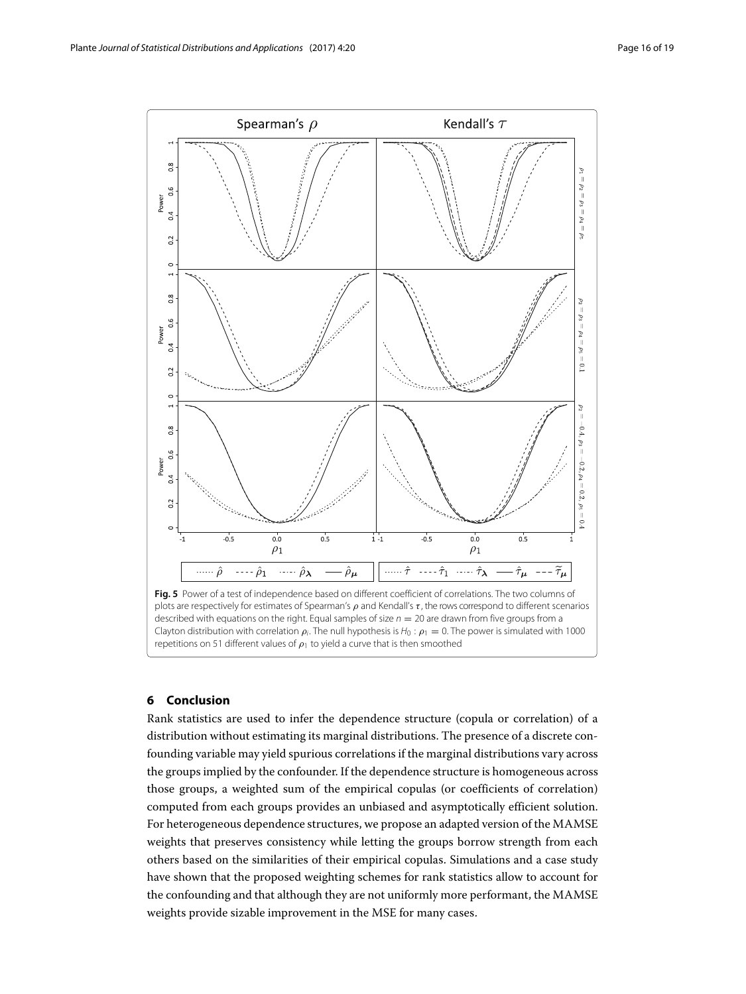

#### <span id="page-15-0"></span>**6 Conclusion**

Rank statistics are used to infer the dependence structure (copula or correlation) of a distribution without estimating its marginal distributions. The presence of a discrete confounding variable may yield spurious correlations if the marginal distributions vary across the groups implied by the confounder. If the dependence structure is homogeneous across those groups, a weighted sum of the empirical copulas (or coefficients of correlation) computed from each groups provides an unbiased and asymptotically efficient solution. For heterogeneous dependence structures, we propose an adapted version of the MAMSE weights that preserves consistency while letting the groups borrow strength from each others based on the similarities of their empirical copulas. Simulations and a case study have shown that the proposed weighting schemes for rank statistics allow to account for the confounding and that although they are not uniformly more performant, the MAMSE weights provide sizable improvement in the MSE for many cases.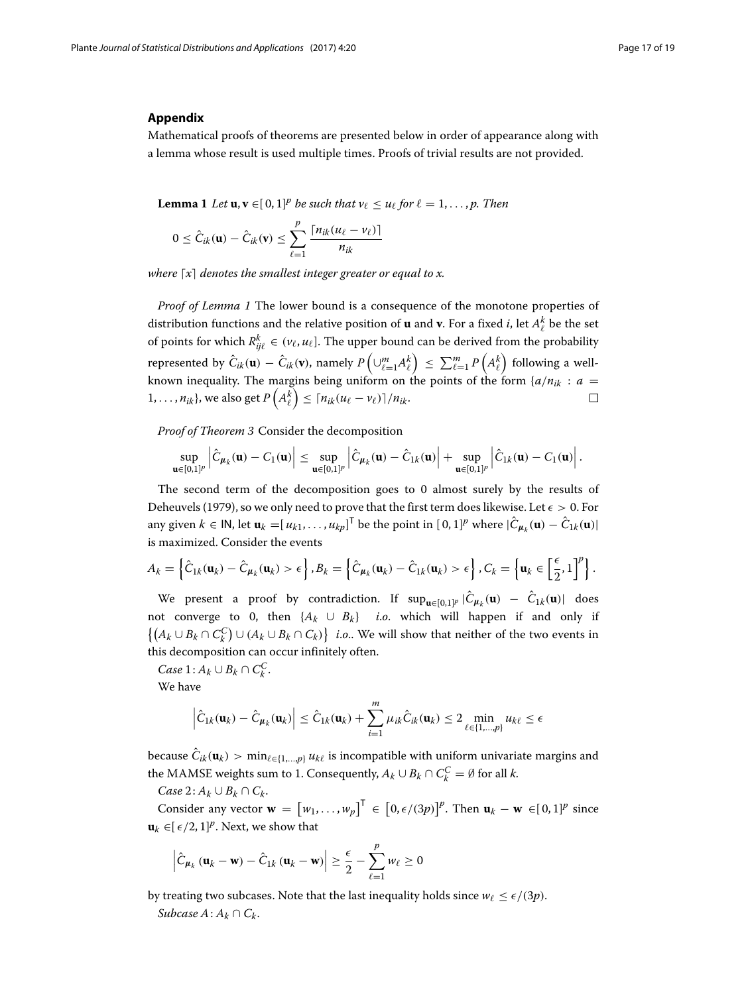#### **Appendix**

<span id="page-16-0"></span>Mathematical proofs of theorems are presented below in order of appearance along with a lemma whose result is used multiple times. Proofs of trivial results are not provided.

<span id="page-16-1"></span>**Lemma 1** *Let*  $\mathbf{u}, \mathbf{v} \in [0, 1]^p$  *be such that*  $v_\ell \leq u_\ell$  *for*  $\ell = 1, \ldots, p$ *. Then* 

$$
0 \leq \hat{C}_{ik}(\mathbf{u}) - \hat{C}_{ik}(\mathbf{v}) \leq \sum_{\ell=1}^p \frac{\lceil n_{ik}(u_\ell - v_\ell) \rceil}{n_{ik}}
$$

where  $\lceil x \rceil$  denotes the smallest integer greater or equal to x.

*Proof of Lemma 1* The lower bound is a consequence of the monotone properties of distribution functions and the relative position of  $\bf{u}$  and  $\bf{v}$ . For a fixed *i*, let  $A^k_\ell$  be the set of points for which  $R_{ij\ell}^k \in (\nu_\ell, u_\ell]$ . The upper bound can be derived from the probability represented by  $\hat{C}_{ik}(\mathbf{u}) - \hat{C}_{ik}(\mathbf{v})$ , namely  $P\left(\cup_{\ell=1}^m A_\ell^k\right) \le \sum_{\ell=1}^m P\left(A_\ell^k\right)$  following a wellknown inequality. The margins being uniform on the points of the form  $\{a/n_{ik} : a =$  $\{1,\ldots,n_{ik}\},$  we also get  $P\left(A^k_\ell\right)\leq \lceil n_{ik}(u_\ell-v_\ell)\rceil/n_{ik}.$  $\Box$ 

*Proof of Theorem 3* Consider the decomposition

$$
\sup_{\mathbf{u}\in[0,1]^p}\left|\hat{C}_{\mu_k}(\mathbf{u})-C_1(\mathbf{u})\right|\leq \sup_{\mathbf{u}\in[0,1]^p}\left|\hat{C}_{\mu_k}(\mathbf{u})-\hat{C}_{1k}(\mathbf{u})\right|+\sup_{\mathbf{u}\in[0,1]^p}\left|\hat{C}_{1k}(\mathbf{u})-C_1(\mathbf{u})\right|.
$$

The second term of the decomposition goes to 0 almost surely by the results of Deheuvels [\(1979\)](#page-18-14), so we only need to prove that the first term does likewise. Let  $\epsilon > 0$ . For any given  $k \in \mathsf{IN}$ , let  $\mathbf{u}_k = [u_{k1}, \dots, u_{kp}]^\mathsf{T}$  be the point in  $[0, 1]^p$  where  $|\hat{\mathcal{C}}_{\boldsymbol{\mu}_k}(\mathbf{u}) - \hat{\mathcal{C}}_{1k}(\mathbf{u})|$ is maximized. Consider the events

$$
A_k = \left\{\hat{C}_{1k}(\mathbf{u}_k) - \hat{C}_{\mu_k}(\mathbf{u}_k) > \epsilon\right\}, B_k = \left\{\hat{C}_{\mu_k}(\mathbf{u}_k) - \hat{C}_{1k}(\mathbf{u}_k) > \epsilon\right\}, C_k = \left\{\mathbf{u}_k \in \left[\frac{\epsilon}{2}, 1\right]^p\right\}.
$$

We present a proof by contradiction. If  $\sup_{\mathbf{u}\in[0,1]^p}|\hat{C}_{\mu_k}(\mathbf{u}) - \hat{C}_{1k}(\mathbf{u})|$  does not converge to 0, then  $\{A_k \cup B_k\}$  *i.o.* which will happen if and only if  $\{(A_k \cup B_k \cap C_k^C) \cup (A_k \cup B_k \cap C_k)\}\$  *i.o.*. We will show that neither of the two events in this decomposition can occur infinitely often.

*Case* 1:  $A_k$  ∪  $B_k$  ∩  $C_k^C$ .

We have

$$
\left|\hat{C}_{1k}(\mathbf{u}_k) - \hat{C}_{\mu_k}(\mathbf{u}_k)\right| \le \hat{C}_{1k}(\mathbf{u}_k) + \sum_{i=1}^m \mu_{ik}\hat{C}_{ik}(\mathbf{u}_k) \le 2 \min_{\ell \in \{1,\dots,p\}} u_{k\ell} \le \epsilon
$$

because  $C_{ik}(\mathbf{u}_k) > \min_{\ell \in \{1,\dots,p\}} u_{k\ell}$  is incompatible with uniform univariate margins and the MAMSE weights sum to 1. Consequently,  $A_k \cup B_k \cap C_k^C = \emptyset$  for all *k*.

 $Case 2: A_k ∪ B_k ∩ C_k$ .

Consider any vector  $\mathbf{w} = [w_1, \dots, w_p]^\mathsf{T} \in [0, \epsilon/(3p)]^p$ . Then  $\mathbf{u}_k - \mathbf{w} \in [0, 1]^p$  since **u**<sub>*k*</sub> ∈[ $\epsilon$ /2, 1]<sup>*p*</sup>. Next, we show that

$$
\left|\hat{C}_{\mu_k}(\mathbf{u}_k - \mathbf{w}) - \hat{C}_{1k}(\mathbf{u}_k - \mathbf{w})\right| \geq \frac{\epsilon}{2} - \sum_{\ell=1}^p w_\ell \geq 0
$$

by treating two subcases. Note that the last inequality holds since  $w_{\ell} \le \epsilon/(3p)$ .

*Subcase*  $A: A_k \cap C_k$ .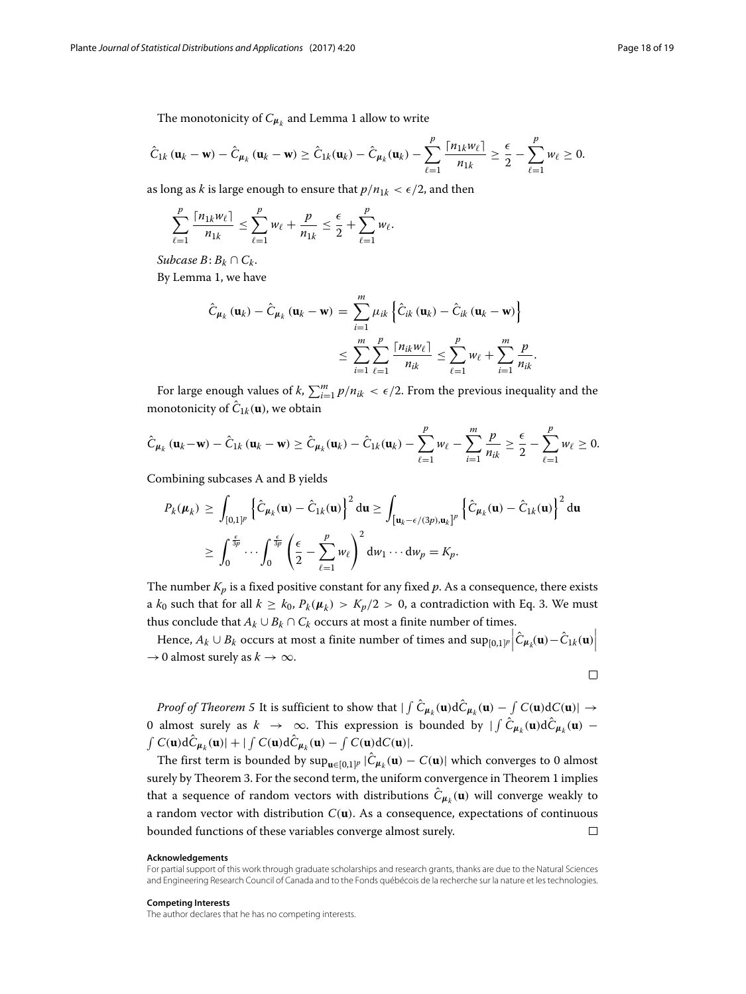The monotonicity of  $C_{\mu_k}$  and Lemma [1](#page-16-1) allow to write

$$
\hat{C}_{1k}(\mathbf{u}_k - \mathbf{w}) - \hat{C}_{\mu_k}(\mathbf{u}_k - \mathbf{w}) \ge \hat{C}_{1k}(\mathbf{u}_k) - \hat{C}_{\mu_k}(\mathbf{u}_k) - \sum_{\ell=1}^p \frac{\lceil n_{1k}w_\ell \rceil}{n_{1k}} \ge \frac{\epsilon}{2} - \sum_{\ell=1}^p w_\ell \ge 0.
$$

as long as *k* is large enough to ensure that  $p/n_{1k} < \epsilon/2$ , and then

$$
\sum_{\ell=1}^p \frac{\lceil n_{1k}w_\ell \rceil}{n_{1k}} \leq \sum_{\ell=1}^p w_\ell + \frac{p}{n_{1k}} \leq \frac{\epsilon}{2} + \sum_{\ell=1}^p w_\ell.
$$

*Subcase*  $B$ :  $B_k$  ∩  $C_k$ .

By Lemma [1,](#page-16-1) we have

$$
\hat{C}_{\mu_k}(\mathbf{u}_k) - \hat{C}_{\mu_k}(\mathbf{u}_k - \mathbf{w}) = \sum_{i=1}^m \mu_{ik} \left\{ \hat{C}_{ik}(\mathbf{u}_k) - \hat{C}_{ik}(\mathbf{u}_k - \mathbf{w}) \right\}
$$

$$
\leq \sum_{i=1}^m \sum_{\ell=1}^p \frac{[n_{ik}w_{\ell}]}{n_{ik}} \leq \sum_{\ell=1}^p w_{\ell} + \sum_{i=1}^m \frac{p}{n_{ik}}
$$

For large enough values of  $k$ ,  $\sum_{i=1}^{m} p/n_{ik} < \epsilon/2$ . From the previous inequality and the monotonicity of  $\hat{C}_{1k}(\mathbf{u})$ , we obtain

$$
\hat{C}_{\mu_k}(\mathbf{u}_k - \mathbf{w}) - \hat{C}_{1k}(\mathbf{u}_k - \mathbf{w}) \ge \hat{C}_{\mu_k}(\mathbf{u}_k) - \hat{C}_{1k}(\mathbf{u}_k) - \sum_{\ell=1}^p w_\ell - \sum_{i=1}^m \frac{p}{n_{ik}} \ge \frac{\epsilon}{2} - \sum_{\ell=1}^p w_\ell \ge 0.
$$

Combining subcases A and B yields

$$
P_k(\boldsymbol{\mu}_k) \ge \int_{[0,1]^p} \left\{ \hat{C}_{\boldsymbol{\mu}_k}(\mathbf{u}) - \hat{C}_{1k}(\mathbf{u}) \right\}^2 d\mathbf{u} \ge \int_{\left[\mathbf{u}_k - \epsilon/(3p), \mathbf{u}_k\right]^p} \left\{ \hat{C}_{\boldsymbol{\mu}_k}(\mathbf{u}) - \hat{C}_{1k}(\mathbf{u}) \right\}^2 d\mathbf{u}
$$
  
 
$$
\ge \int_0^{\frac{\epsilon}{3p}} \cdots \int_0^{\frac{\epsilon}{3p}} \left( \frac{\epsilon}{2} - \sum_{\ell=1}^p w_\ell \right)^2 d\mathbf{w}_1 \cdots d\mathbf{w}_p = K_p.
$$

The number  $K_p$  is a fixed positive constant for any fixed  $p$ . As a consequence, there exists a  $k_0$  such that for all  $k \geq k_0$ ,  $P_k(\mu_k) > K_p/2 > 0$ , a contradiction with Eq. [3.](#page-5-3) We must thus conclude that  $A_k \cup B_k \cap C_k$  occurs at most a finite number of times.

Hence,  $A_k \cup B_k$  occurs at most a finite number of times and  $\sup_{[0,1]^p} \left| \hat{C}_{\mu_k}(\mathbf{u}) - \hat{C}_{1k}(\mathbf{u}) \right|$  $\rightarrow$  0 almost surely as  $k \rightarrow \infty$ .

$$
\Box
$$

.

*Proof of Theorem 5* It is sufficient to show that  $|\int C_{\mu_k}(\mathbf{u})dC_{\mu_k}(\mathbf{u}) - \int C(\mathbf{u})dC(\mathbf{u})| \to$ 0 almost surely as  $k \to \infty$ . This expression is bounded by  $\int \mathcal{C}_{\mu_k}(\mathbf{u}) d\mathcal{C}_{\mu_k}(\mathbf{u})$  –  $\int C(\mathbf{u})d\hat{C}_{\mu_k}(\mathbf{u})| + |\int C(\mathbf{u})d\hat{C}_{\mu_k}(\mathbf{u}) - \int C(\mathbf{u})dC(\mathbf{u})|$ .

The first term is bounded by  $\sup_{\mathbf{u} \in [0,1]^p} |\hat{C}_{\mu_k}(\mathbf{u}) - C(\mathbf{u})|$  which converges to 0 almost surely by Theorem [3.](#page-5-2) For the second term, the uniform convergence in Theorem [1](#page-3-3) implies that a sequence of random vectors with distributions  $\hat{C}_{\mu_k}(\mathbf{u})$  will converge weakly to a random vector with distribution *C*(**u**). As a consequence, expectations of continuous bounded functions of these variables converge almost surely.  $\Box$ 

#### **Acknowledgements**

For partial support of this work through graduate scholarships and research grants, thanks are due to the Natural Sciences and Engineering Research Council of Canada and to the Fonds québécois de la recherche sur la nature et les technologies.

#### **Competing Interests**

The author declares that he has no competing interests.